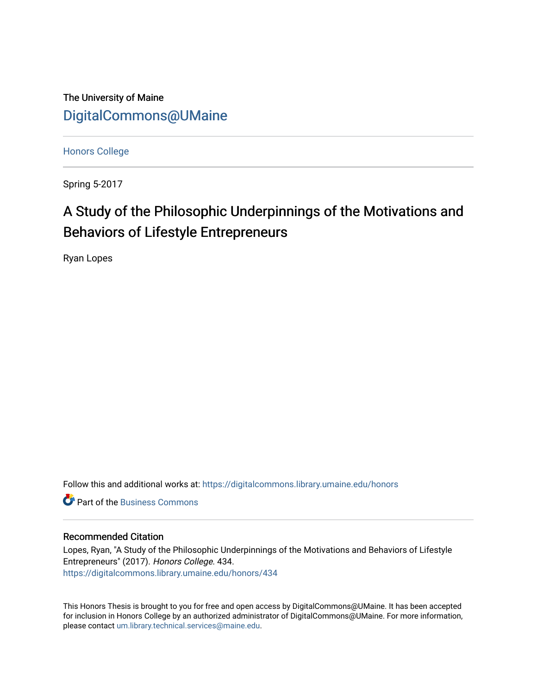The University of Maine [DigitalCommons@UMaine](https://digitalcommons.library.umaine.edu/)

[Honors College](https://digitalcommons.library.umaine.edu/honors)

Spring 5-2017

# A Study of the Philosophic Underpinnings of the Motivations and Behaviors of Lifestyle Entrepreneurs

Ryan Lopes

Follow this and additional works at: [https://digitalcommons.library.umaine.edu/honors](https://digitalcommons.library.umaine.edu/honors?utm_source=digitalcommons.library.umaine.edu%2Fhonors%2F434&utm_medium=PDF&utm_campaign=PDFCoverPages) 

**C** Part of the [Business Commons](http://network.bepress.com/hgg/discipline/622?utm_source=digitalcommons.library.umaine.edu%2Fhonors%2F434&utm_medium=PDF&utm_campaign=PDFCoverPages)

#### Recommended Citation

Lopes, Ryan, "A Study of the Philosophic Underpinnings of the Motivations and Behaviors of Lifestyle Entrepreneurs" (2017). Honors College. 434. [https://digitalcommons.library.umaine.edu/honors/434](https://digitalcommons.library.umaine.edu/honors/434?utm_source=digitalcommons.library.umaine.edu%2Fhonors%2F434&utm_medium=PDF&utm_campaign=PDFCoverPages) 

This Honors Thesis is brought to you for free and open access by DigitalCommons@UMaine. It has been accepted for inclusion in Honors College by an authorized administrator of DigitalCommons@UMaine. For more information, please contact [um.library.technical.services@maine.edu.](mailto:um.library.technical.services@maine.edu)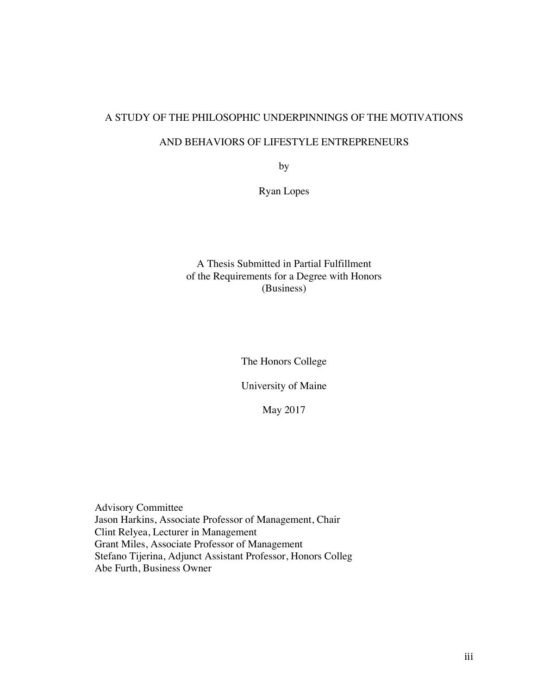# A STUDY OF THE PHILOSOPHIC UNDERPINNINGS OF THE MOTIVATIONS

## AND BEHAVIORS OF LIFESTYLE ENTREPRENEURS

by

Ryan Lopes

## A Thesis Submitted in Partial Fulfillment of the Requirements for a Degree with Honors (Business)

The Honors College

University of Maine

May 2017

Advisory Committee Jason Harkins, Associate Professor of Management, Chair Clint Relyea, Lecturer in Management Grant Miles, Associate Professor of Management Stefano Tijerina, Adjunct Assistant Professor, Honors Colleg Abe Furth, Business Owner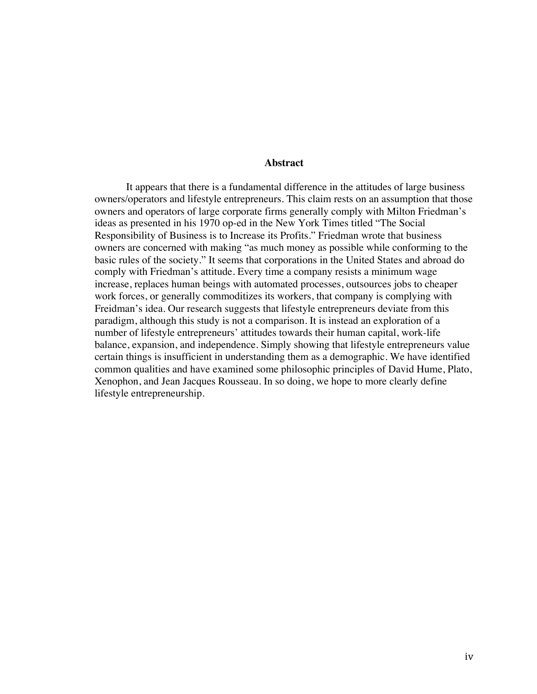#### **Abstract**

It appears that there is a fundamental difference in the attitudes of large business owners/operators and lifestyle entrepreneurs. This claim rests on an assumption that those owners and operators of large corporate firms generally comply with Milton Friedman's ideas as presented in his 1970 op-ed in the New York Times titled "The Social Responsibility of Business is to Increase its Profits." Friedman wrote that business owners are concerned with making "as much money as possible while conforming to the basic rules of the society." It seems that corporations in the United States and abroad do comply with Friedman's attitude. Every time a company resists a minimum wage increase, replaces human beings with automated processes, outsources jobs to cheaper work forces, or generally commoditizes its workers, that company is complying with Freidman's idea. Our research suggests that lifestyle entrepreneurs deviate from this paradigm, although this study is not a comparison. It is instead an exploration of a number of lifestyle entrepreneurs' attitudes towards their human capital, work-life balance, expansion, and independence. Simply showing that lifestyle entrepreneurs value certain things is insufficient in understanding them as a demographic. We have identified common qualities and have examined some philosophic principles of David Hume, Plato, Xenophon, and Jean Jacques Rousseau. In so doing, we hope to more clearly define lifestyle entrepreneurship.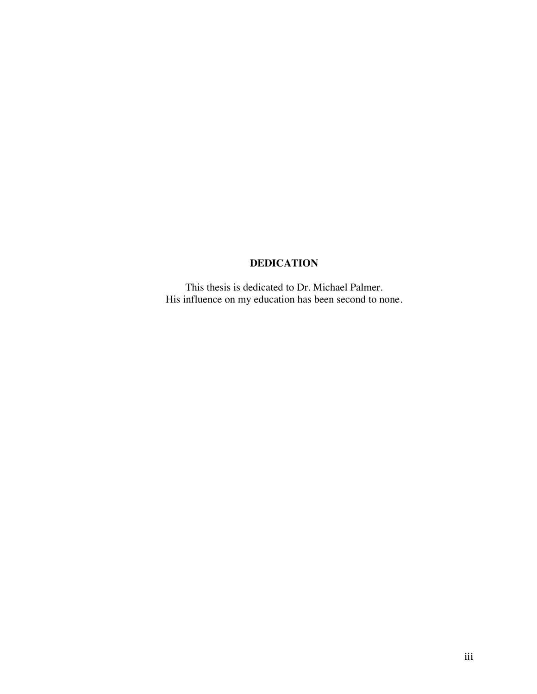## **DEDICATION**

This thesis is dedicated to Dr. Michael Palmer. His influence on my education has been second to none.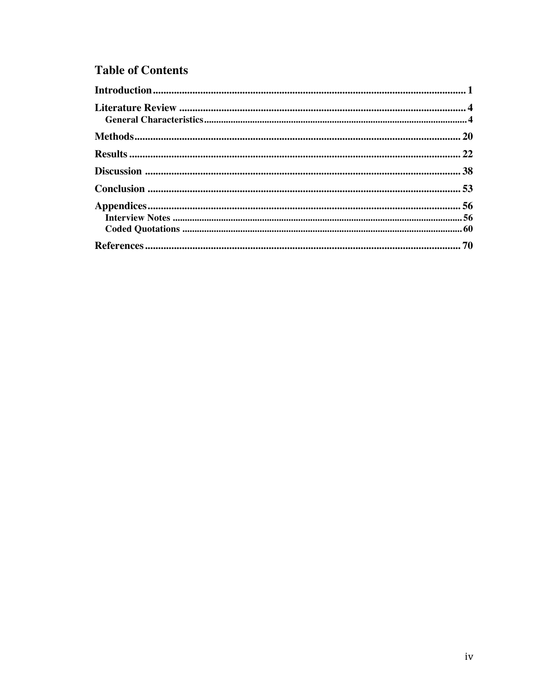# **Table of Contents**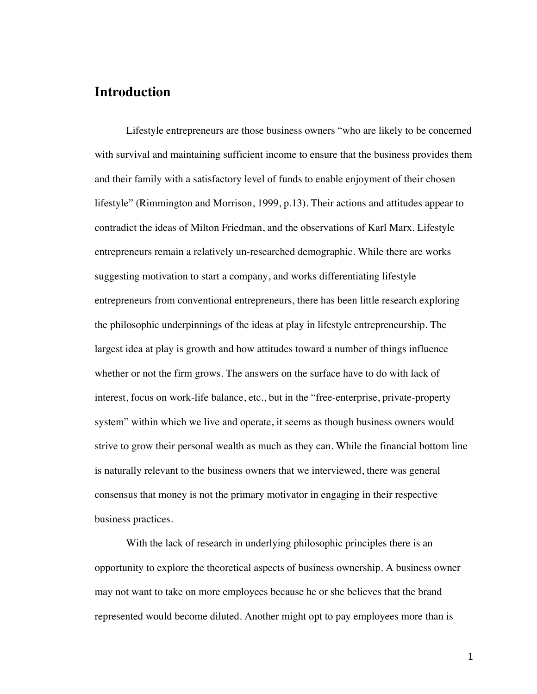## **Introduction**

Lifestyle entrepreneurs are those business owners "who are likely to be concerned with survival and maintaining sufficient income to ensure that the business provides them and their family with a satisfactory level of funds to enable enjoyment of their chosen lifestyle" (Rimmington and Morrison, 1999, p.13). Their actions and attitudes appear to contradict the ideas of Milton Friedman, and the observations of Karl Marx. Lifestyle entrepreneurs remain a relatively un-researched demographic. While there are works suggesting motivation to start a company, and works differentiating lifestyle entrepreneurs from conventional entrepreneurs, there has been little research exploring the philosophic underpinnings of the ideas at play in lifestyle entrepreneurship. The largest idea at play is growth and how attitudes toward a number of things influence whether or not the firm grows. The answers on the surface have to do with lack of interest, focus on work-life balance, etc., but in the "free-enterprise, private-property system" within which we live and operate, it seems as though business owners would strive to grow their personal wealth as much as they can. While the financial bottom line is naturally relevant to the business owners that we interviewed, there was general consensus that money is not the primary motivator in engaging in their respective business practices.

With the lack of research in underlying philosophic principles there is an opportunity to explore the theoretical aspects of business ownership. A business owner may not want to take on more employees because he or she believes that the brand represented would become diluted. Another might opt to pay employees more than is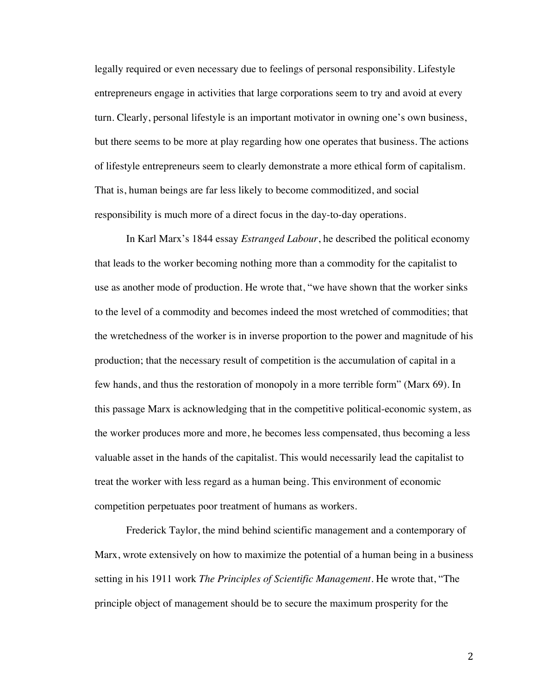legally required or even necessary due to feelings of personal responsibility. Lifestyle entrepreneurs engage in activities that large corporations seem to try and avoid at every turn. Clearly, personal lifestyle is an important motivator in owning one's own business, but there seems to be more at play regarding how one operates that business. The actions of lifestyle entrepreneurs seem to clearly demonstrate a more ethical form of capitalism. That is, human beings are far less likely to become commoditized, and social responsibility is much more of a direct focus in the day-to-day operations.

In Karl Marx's 1844 essay *Estranged Labour*, he described the political economy that leads to the worker becoming nothing more than a commodity for the capitalist to use as another mode of production. He wrote that, "we have shown that the worker sinks to the level of a commodity and becomes indeed the most wretched of commodities; that the wretchedness of the worker is in inverse proportion to the power and magnitude of his production; that the necessary result of competition is the accumulation of capital in a few hands, and thus the restoration of monopoly in a more terrible form" (Marx 69). In this passage Marx is acknowledging that in the competitive political-economic system, as the worker produces more and more, he becomes less compensated, thus becoming a less valuable asset in the hands of the capitalist. This would necessarily lead the capitalist to treat the worker with less regard as a human being. This environment of economic competition perpetuates poor treatment of humans as workers.

Frederick Taylor, the mind behind scientific management and a contemporary of Marx, wrote extensively on how to maximize the potential of a human being in a business setting in his 1911 work *The Principles of Scientific Management*. He wrote that, "The principle object of management should be to secure the maximum prosperity for the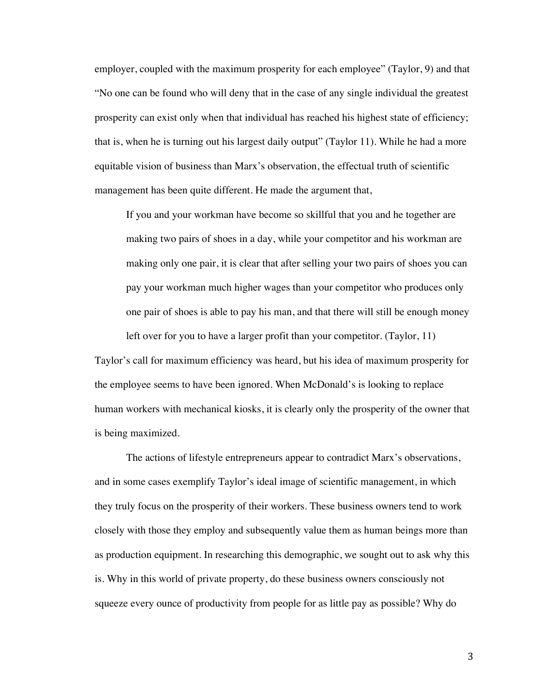employer, coupled with the maximum prosperity for each employee" (Taylor, 9) and that "No one can be found who will deny that in the case of any single individual the greatest prosperity can exist only when that individual has reached his highest state of efficiency; that is, when he is turning out his largest daily output" (Taylor 11). While he had a more equitable vision of business than Marx's observation, the effectual truth of scientific management has been quite different. He made the argument that,

If you and your workman have become so skillful that you and he together are making two pairs of shoes in a day, while your competitor and his workman are making only one pair, it is clear that after selling your two pairs of shoes you can pay your workman much higher wages than your competitor who produces only one pair of shoes is able to pay his man, and that there will still be enough money left over for you to have a larger profit than your competitor. (Taylor, 11)

Taylor's call for maximum efficiency was heard, but his idea of maximum prosperity for the employee seems to have been ignored. When McDonald's is looking to replace human workers with mechanical kiosks, it is clearly only the prosperity of the owner that is being maximized.

The actions of lifestyle entrepreneurs appear to contradict Marx's observations, and in some cases exemplify Taylor's ideal image of scientific management, in which they truly focus on the prosperity of their workers. These business owners tend to work closely with those they employ and subsequently value them as human beings more than as production equipment. In researching this demographic, we sought out to ask why this is. Why in this world of private property, do these business owners consciously not squeeze every ounce of productivity from people for as little pay as possible? Why do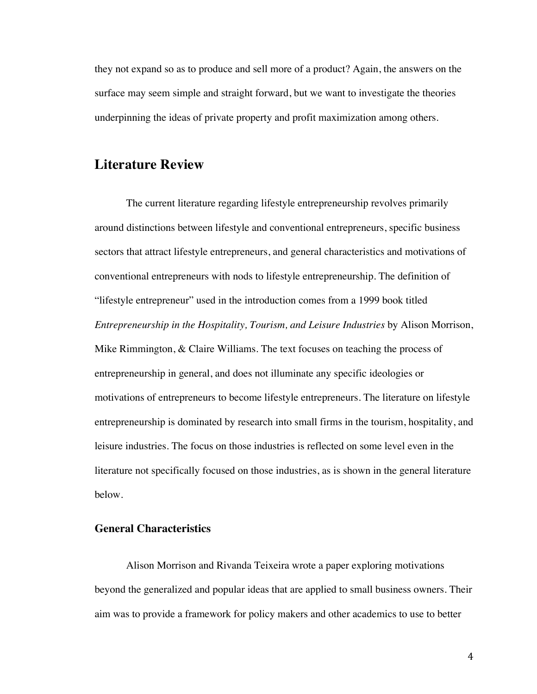they not expand so as to produce and sell more of a product? Again, the answers on the surface may seem simple and straight forward, but we want to investigate the theories underpinning the ideas of private property and profit maximization among others.

## **Literature Review**

The current literature regarding lifestyle entrepreneurship revolves primarily around distinctions between lifestyle and conventional entrepreneurs, specific business sectors that attract lifestyle entrepreneurs, and general characteristics and motivations of conventional entrepreneurs with nods to lifestyle entrepreneurship. The definition of "lifestyle entrepreneur" used in the introduction comes from a 1999 book titled *Entrepreneurship in the Hospitality, Tourism, and Leisure Industries* by Alison Morrison, Mike Rimmington, & Claire Williams. The text focuses on teaching the process of entrepreneurship in general, and does not illuminate any specific ideologies or motivations of entrepreneurs to become lifestyle entrepreneurs. The literature on lifestyle entrepreneurship is dominated by research into small firms in the tourism, hospitality, and leisure industries. The focus on those industries is reflected on some level even in the literature not specifically focused on those industries, as is shown in the general literature below.

## **General Characteristics**

Alison Morrison and Rivanda Teixeira wrote a paper exploring motivations beyond the generalized and popular ideas that are applied to small business owners. Their aim was to provide a framework for policy makers and other academics to use to better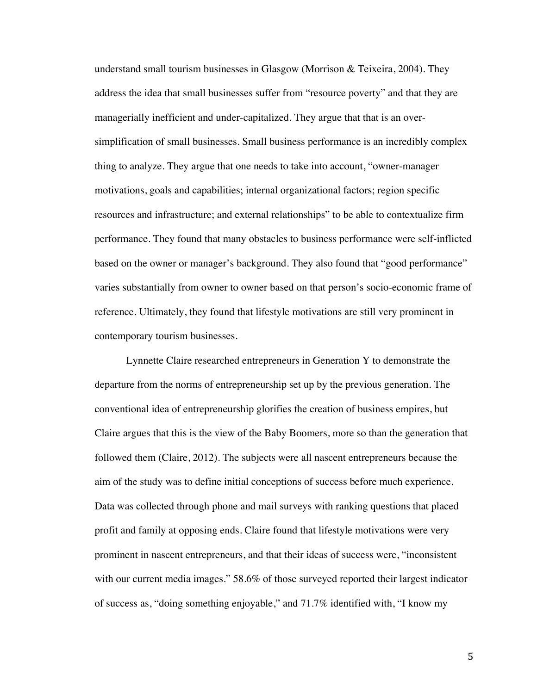understand small tourism businesses in Glasgow (Morrison & Teixeira, 2004). They address the idea that small businesses suffer from "resource poverty" and that they are managerially inefficient and under-capitalized. They argue that that is an oversimplification of small businesses. Small business performance is an incredibly complex thing to analyze. They argue that one needs to take into account, "owner-manager motivations, goals and capabilities; internal organizational factors; region specific resources and infrastructure; and external relationships" to be able to contextualize firm performance. They found that many obstacles to business performance were self-inflicted based on the owner or manager's background. They also found that "good performance" varies substantially from owner to owner based on that person's socio-economic frame of reference. Ultimately, they found that lifestyle motivations are still very prominent in contemporary tourism businesses.

Lynnette Claire researched entrepreneurs in Generation Y to demonstrate the departure from the norms of entrepreneurship set up by the previous generation. The conventional idea of entrepreneurship glorifies the creation of business empires, but Claire argues that this is the view of the Baby Boomers, more so than the generation that followed them (Claire, 2012). The subjects were all nascent entrepreneurs because the aim of the study was to define initial conceptions of success before much experience. Data was collected through phone and mail surveys with ranking questions that placed profit and family at opposing ends. Claire found that lifestyle motivations were very prominent in nascent entrepreneurs, and that their ideas of success were, "inconsistent with our current media images." 58.6% of those surveyed reported their largest indicator of success as, "doing something enjoyable," and 71.7% identified with, "I know my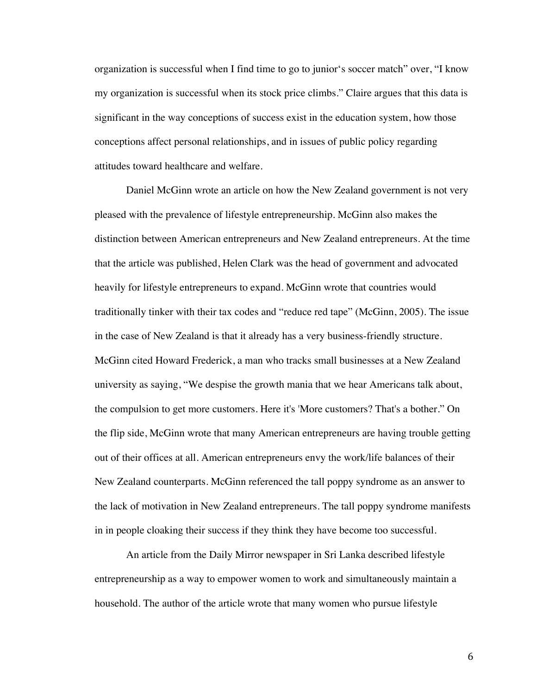organization is successful when I find time to go to junior's soccer match" over, "I know my organization is successful when its stock price climbs." Claire argues that this data is significant in the way conceptions of success exist in the education system, how those conceptions affect personal relationships, and in issues of public policy regarding attitudes toward healthcare and welfare.

Daniel McGinn wrote an article on how the New Zealand government is not very pleased with the prevalence of lifestyle entrepreneurship. McGinn also makes the distinction between American entrepreneurs and New Zealand entrepreneurs. At the time that the article was published, Helen Clark was the head of government and advocated heavily for lifestyle entrepreneurs to expand. McGinn wrote that countries would traditionally tinker with their tax codes and "reduce red tape" (McGinn, 2005). The issue in the case of New Zealand is that it already has a very business-friendly structure. McGinn cited Howard Frederick, a man who tracks small businesses at a New Zealand university as saying, "We despise the growth mania that we hear Americans talk about, the compulsion to get more customers. Here it's 'More customers? That's a bother." On the flip side, McGinn wrote that many American entrepreneurs are having trouble getting out of their offices at all. American entrepreneurs envy the work/life balances of their New Zealand counterparts. McGinn referenced the tall poppy syndrome as an answer to the lack of motivation in New Zealand entrepreneurs. The tall poppy syndrome manifests in in people cloaking their success if they think they have become too successful.

An article from the Daily Mirror newspaper in Sri Lanka described lifestyle entrepreneurship as a way to empower women to work and simultaneously maintain a household. The author of the article wrote that many women who pursue lifestyle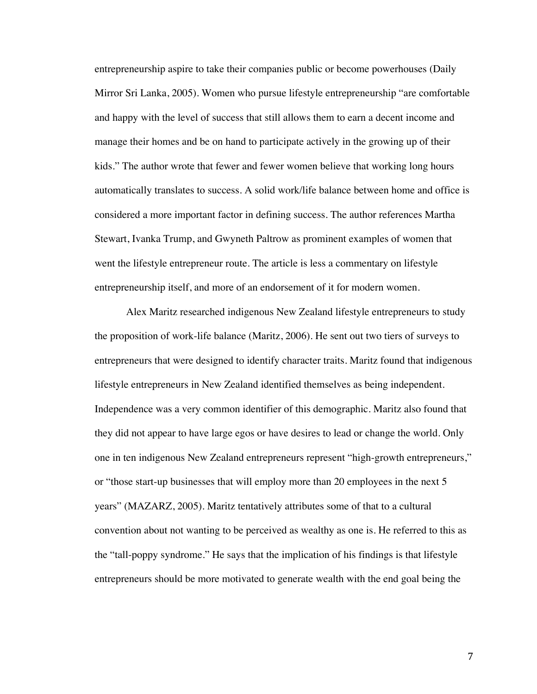entrepreneurship aspire to take their companies public or become powerhouses (Daily Mirror Sri Lanka, 2005). Women who pursue lifestyle entrepreneurship "are comfortable and happy with the level of success that still allows them to earn a decent income and manage their homes and be on hand to participate actively in the growing up of their kids." The author wrote that fewer and fewer women believe that working long hours automatically translates to success. A solid work/life balance between home and office is considered a more important factor in defining success. The author references Martha Stewart, Ivanka Trump, and Gwyneth Paltrow as prominent examples of women that went the lifestyle entrepreneur route. The article is less a commentary on lifestyle entrepreneurship itself, and more of an endorsement of it for modern women.

Alex Maritz researched indigenous New Zealand lifestyle entrepreneurs to study the proposition of work-life balance (Maritz, 2006). He sent out two tiers of surveys to entrepreneurs that were designed to identify character traits. Maritz found that indigenous lifestyle entrepreneurs in New Zealand identified themselves as being independent. Independence was a very common identifier of this demographic. Maritz also found that they did not appear to have large egos or have desires to lead or change the world. Only one in ten indigenous New Zealand entrepreneurs represent "high-growth entrepreneurs," or "those start-up businesses that will employ more than 20 employees in the next 5 years" (MAZARZ, 2005). Maritz tentatively attributes some of that to a cultural convention about not wanting to be perceived as wealthy as one is. He referred to this as the "tall-poppy syndrome." He says that the implication of his findings is that lifestyle entrepreneurs should be more motivated to generate wealth with the end goal being the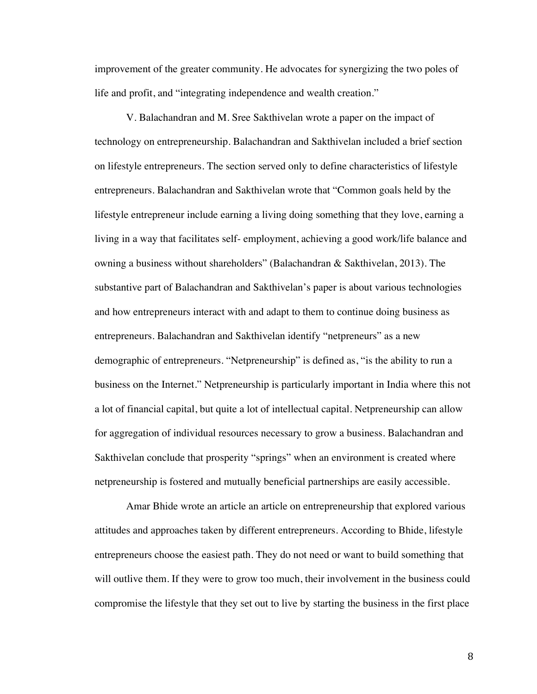improvement of the greater community. He advocates for synergizing the two poles of life and profit, and "integrating independence and wealth creation."

V. Balachandran and M. Sree Sakthivelan wrote a paper on the impact of technology on entrepreneurship. Balachandran and Sakthivelan included a brief section on lifestyle entrepreneurs. The section served only to define characteristics of lifestyle entrepreneurs. Balachandran and Sakthivelan wrote that "Common goals held by the lifestyle entrepreneur include earning a living doing something that they love, earning a living in a way that facilitates self- employment, achieving a good work/life balance and owning a business without shareholders" (Balachandran & Sakthivelan, 2013). The substantive part of Balachandran and Sakthivelan's paper is about various technologies and how entrepreneurs interact with and adapt to them to continue doing business as entrepreneurs. Balachandran and Sakthivelan identify "netpreneurs" as a new demographic of entrepreneurs. "Netpreneurship" is defined as, "is the ability to run a business on the Internet." Netpreneurship is particularly important in India where this not a lot of financial capital, but quite a lot of intellectual capital. Netpreneurship can allow for aggregation of individual resources necessary to grow a business. Balachandran and Sakthivelan conclude that prosperity "springs" when an environment is created where netpreneurship is fostered and mutually beneficial partnerships are easily accessible.

Amar Bhide wrote an article an article on entrepreneurship that explored various attitudes and approaches taken by different entrepreneurs. According to Bhide, lifestyle entrepreneurs choose the easiest path. They do not need or want to build something that will outlive them. If they were to grow too much, their involvement in the business could compromise the lifestyle that they set out to live by starting the business in the first place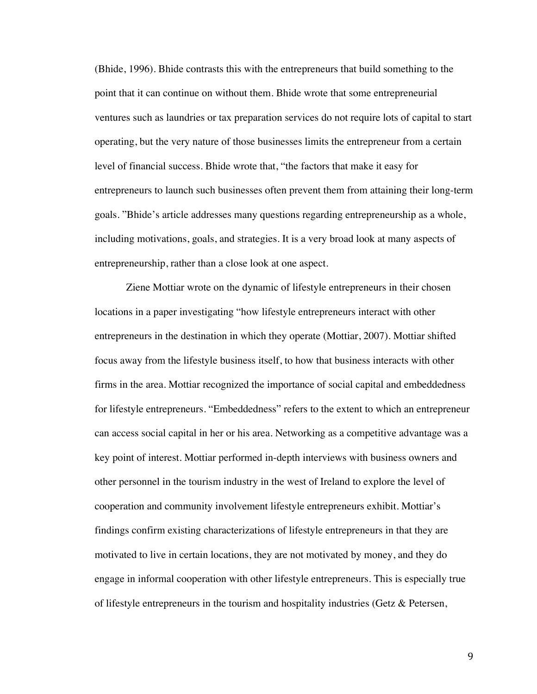(Bhide, 1996). Bhide contrasts this with the entrepreneurs that build something to the point that it can continue on without them. Bhide wrote that some entrepreneurial ventures such as laundries or tax preparation services do not require lots of capital to start operating, but the very nature of those businesses limits the entrepreneur from a certain level of financial success. Bhide wrote that, "the factors that make it easy for entrepreneurs to launch such businesses often prevent them from attaining their long-term goals. "Bhide's article addresses many questions regarding entrepreneurship as a whole, including motivations, goals, and strategies. It is a very broad look at many aspects of entrepreneurship, rather than a close look at one aspect.

Ziene Mottiar wrote on the dynamic of lifestyle entrepreneurs in their chosen locations in a paper investigating "how lifestyle entrepreneurs interact with other entrepreneurs in the destination in which they operate (Mottiar, 2007). Mottiar shifted focus away from the lifestyle business itself, to how that business interacts with other firms in the area. Mottiar recognized the importance of social capital and embeddedness for lifestyle entrepreneurs. "Embeddedness" refers to the extent to which an entrepreneur can access social capital in her or his area. Networking as a competitive advantage was a key point of interest. Mottiar performed in-depth interviews with business owners and other personnel in the tourism industry in the west of Ireland to explore the level of cooperation and community involvement lifestyle entrepreneurs exhibit. Mottiar's findings confirm existing characterizations of lifestyle entrepreneurs in that they are motivated to live in certain locations, they are not motivated by money, and they do engage in informal cooperation with other lifestyle entrepreneurs. This is especially true of lifestyle entrepreneurs in the tourism and hospitality industries (Getz  $\&$  Petersen,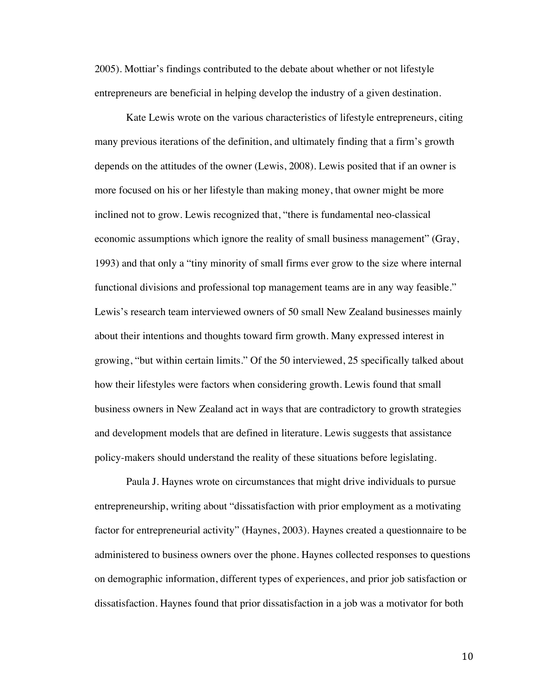2005). Mottiar's findings contributed to the debate about whether or not lifestyle entrepreneurs are beneficial in helping develop the industry of a given destination.

Kate Lewis wrote on the various characteristics of lifestyle entrepreneurs, citing many previous iterations of the definition, and ultimately finding that a firm's growth depends on the attitudes of the owner (Lewis, 2008). Lewis posited that if an owner is more focused on his or her lifestyle than making money, that owner might be more inclined not to grow. Lewis recognized that, "there is fundamental neo-classical economic assumptions which ignore the reality of small business management" (Gray, 1993) and that only a "tiny minority of small firms ever grow to the size where internal functional divisions and professional top management teams are in any way feasible." Lewis's research team interviewed owners of 50 small New Zealand businesses mainly about their intentions and thoughts toward firm growth. Many expressed interest in growing, "but within certain limits." Of the 50 interviewed, 25 specifically talked about how their lifestyles were factors when considering growth. Lewis found that small business owners in New Zealand act in ways that are contradictory to growth strategies and development models that are defined in literature. Lewis suggests that assistance policy-makers should understand the reality of these situations before legislating.

Paula J. Haynes wrote on circumstances that might drive individuals to pursue entrepreneurship, writing about "dissatisfaction with prior employment as a motivating factor for entrepreneurial activity" (Haynes, 2003). Haynes created a questionnaire to be administered to business owners over the phone. Haynes collected responses to questions on demographic information, different types of experiences, and prior job satisfaction or dissatisfaction. Haynes found that prior dissatisfaction in a job was a motivator for both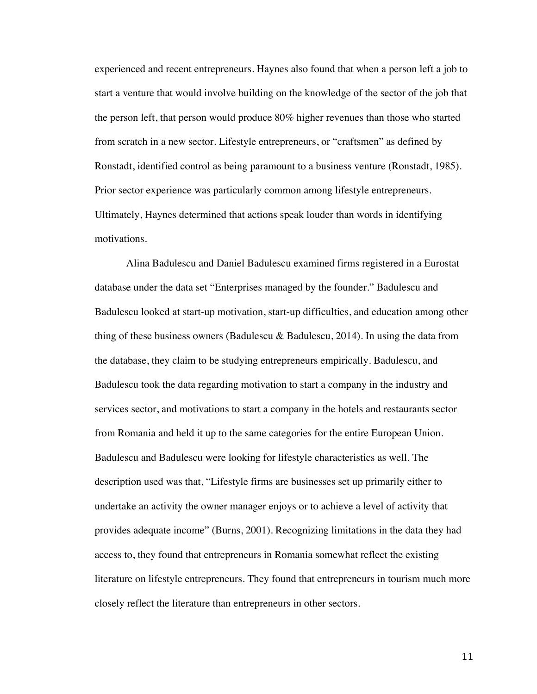experienced and recent entrepreneurs. Haynes also found that when a person left a job to start a venture that would involve building on the knowledge of the sector of the job that the person left, that person would produce 80% higher revenues than those who started from scratch in a new sector. Lifestyle entrepreneurs, or "craftsmen" as defined by Ronstadt, identified control as being paramount to a business venture (Ronstadt, 1985). Prior sector experience was particularly common among lifestyle entrepreneurs. Ultimately, Haynes determined that actions speak louder than words in identifying motivations.

Alina Badulescu and Daniel Badulescu examined firms registered in a Eurostat database under the data set "Enterprises managed by the founder." Badulescu and Badulescu looked at start-up motivation, start-up difficulties, and education among other thing of these business owners (Badulescu & Badulescu, 2014). In using the data from the database, they claim to be studying entrepreneurs empirically. Badulescu, and Badulescu took the data regarding motivation to start a company in the industry and services sector, and motivations to start a company in the hotels and restaurants sector from Romania and held it up to the same categories for the entire European Union. Badulescu and Badulescu were looking for lifestyle characteristics as well. The description used was that, "Lifestyle firms are businesses set up primarily either to undertake an activity the owner manager enjoys or to achieve a level of activity that provides adequate income" (Burns, 2001). Recognizing limitations in the data they had access to, they found that entrepreneurs in Romania somewhat reflect the existing literature on lifestyle entrepreneurs. They found that entrepreneurs in tourism much more closely reflect the literature than entrepreneurs in other sectors.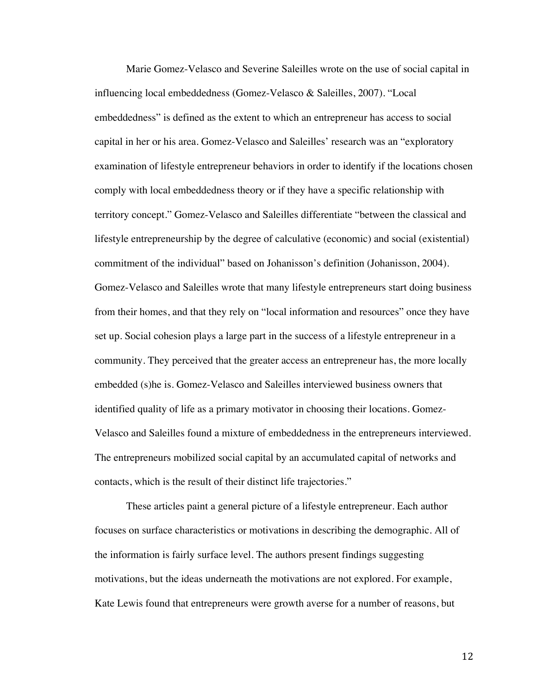Marie Gomez-Velasco and Severine Saleilles wrote on the use of social capital in influencing local embeddedness (Gomez-Velasco & Saleilles, 2007). "Local embeddedness" is defined as the extent to which an entrepreneur has access to social capital in her or his area. Gomez-Velasco and Saleilles' research was an "exploratory examination of lifestyle entrepreneur behaviors in order to identify if the locations chosen comply with local embeddedness theory or if they have a specific relationship with territory concept." Gomez-Velasco and Saleilles differentiate "between the classical and lifestyle entrepreneurship by the degree of calculative (economic) and social (existential) commitment of the individual" based on Johanisson's definition (Johanisson, 2004). Gomez-Velasco and Saleilles wrote that many lifestyle entrepreneurs start doing business from their homes, and that they rely on "local information and resources" once they have set up. Social cohesion plays a large part in the success of a lifestyle entrepreneur in a community. They perceived that the greater access an entrepreneur has, the more locally embedded (s)he is. Gomez-Velasco and Saleilles interviewed business owners that identified quality of life as a primary motivator in choosing their locations. Gomez-Velasco and Saleilles found a mixture of embeddedness in the entrepreneurs interviewed. The entrepreneurs mobilized social capital by an accumulated capital of networks and contacts, which is the result of their distinct life trajectories."

These articles paint a general picture of a lifestyle entrepreneur. Each author focuses on surface characteristics or motivations in describing the demographic. All of the information is fairly surface level. The authors present findings suggesting motivations, but the ideas underneath the motivations are not explored. For example, Kate Lewis found that entrepreneurs were growth averse for a number of reasons, but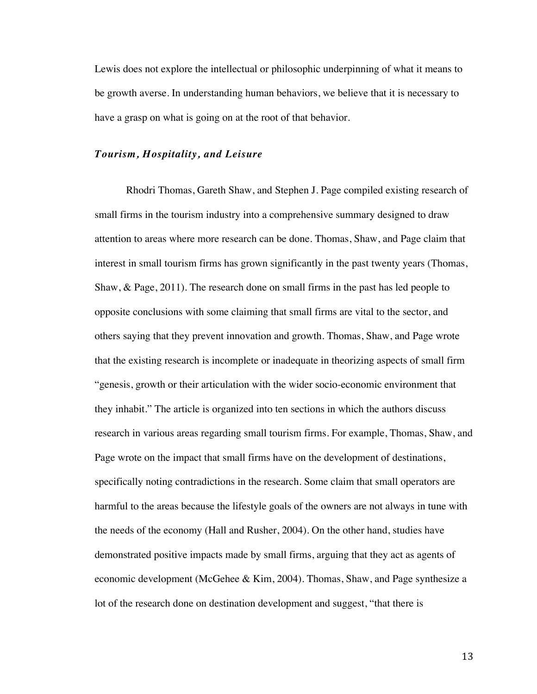Lewis does not explore the intellectual or philosophic underpinning of what it means to be growth averse. In understanding human behaviors, we believe that it is necessary to have a grasp on what is going on at the root of that behavior.

### *Tourism, Hospitality, and Leisure*

Rhodri Thomas, Gareth Shaw, and Stephen J. Page compiled existing research of small firms in the tourism industry into a comprehensive summary designed to draw attention to areas where more research can be done. Thomas, Shaw, and Page claim that interest in small tourism firms has grown significantly in the past twenty years (Thomas, Shaw, & Page, 2011). The research done on small firms in the past has led people to opposite conclusions with some claiming that small firms are vital to the sector, and others saying that they prevent innovation and growth. Thomas, Shaw, and Page wrote that the existing research is incomplete or inadequate in theorizing aspects of small firm "genesis, growth or their articulation with the wider socio-economic environment that they inhabit." The article is organized into ten sections in which the authors discuss research in various areas regarding small tourism firms. For example, Thomas, Shaw, and Page wrote on the impact that small firms have on the development of destinations, specifically noting contradictions in the research. Some claim that small operators are harmful to the areas because the lifestyle goals of the owners are not always in tune with the needs of the economy (Hall and Rusher, 2004). On the other hand, studies have demonstrated positive impacts made by small firms, arguing that they act as agents of economic development (McGehee & Kim, 2004). Thomas, Shaw, and Page synthesize a lot of the research done on destination development and suggest, "that there is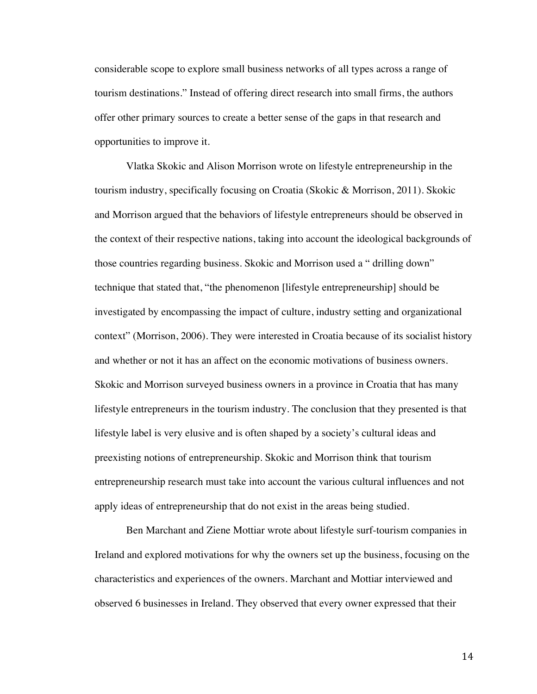considerable scope to explore small business networks of all types across a range of tourism destinations." Instead of offering direct research into small firms, the authors offer other primary sources to create a better sense of the gaps in that research and opportunities to improve it.

Vlatka Skokic and Alison Morrison wrote on lifestyle entrepreneurship in the tourism industry, specifically focusing on Croatia (Skokic & Morrison, 2011). Skokic and Morrison argued that the behaviors of lifestyle entrepreneurs should be observed in the context of their respective nations, taking into account the ideological backgrounds of those countries regarding business. Skokic and Morrison used a " drilling down" technique that stated that, "the phenomenon [lifestyle entrepreneurship] should be investigated by encompassing the impact of culture, industry setting and organizational context" (Morrison, 2006). They were interested in Croatia because of its socialist history and whether or not it has an affect on the economic motivations of business owners. Skokic and Morrison surveyed business owners in a province in Croatia that has many lifestyle entrepreneurs in the tourism industry. The conclusion that they presented is that lifestyle label is very elusive and is often shaped by a society's cultural ideas and preexisting notions of entrepreneurship. Skokic and Morrison think that tourism entrepreneurship research must take into account the various cultural influences and not apply ideas of entrepreneurship that do not exist in the areas being studied.

Ben Marchant and Ziene Mottiar wrote about lifestyle surf-tourism companies in Ireland and explored motivations for why the owners set up the business, focusing on the characteristics and experiences of the owners. Marchant and Mottiar interviewed and observed 6 businesses in Ireland. They observed that every owner expressed that their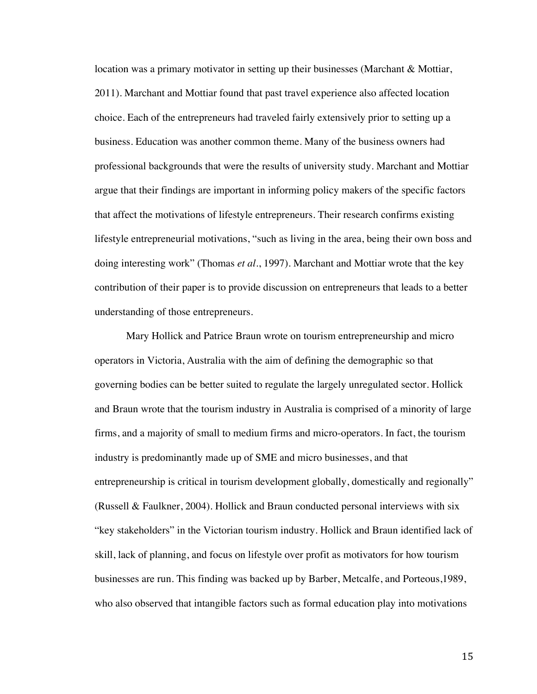location was a primary motivator in setting up their businesses (Marchant & Mottiar, 2011). Marchant and Mottiar found that past travel experience also affected location choice. Each of the entrepreneurs had traveled fairly extensively prior to setting up a business. Education was another common theme. Many of the business owners had professional backgrounds that were the results of university study. Marchant and Mottiar argue that their findings are important in informing policy makers of the specific factors that affect the motivations of lifestyle entrepreneurs. Their research confirms existing lifestyle entrepreneurial motivations, "such as living in the area, being their own boss and doing interesting work" (Thomas *et al.*, 1997). Marchant and Mottiar wrote that the key contribution of their paper is to provide discussion on entrepreneurs that leads to a better understanding of those entrepreneurs.

Mary Hollick and Patrice Braun wrote on tourism entrepreneurship and micro operators in Victoria, Australia with the aim of defining the demographic so that governing bodies can be better suited to regulate the largely unregulated sector. Hollick and Braun wrote that the tourism industry in Australia is comprised of a minority of large firms, and a majority of small to medium firms and micro-operators. In fact, the tourism industry is predominantly made up of SME and micro businesses, and that entrepreneurship is critical in tourism development globally, domestically and regionally" (Russell & Faulkner, 2004). Hollick and Braun conducted personal interviews with six "key stakeholders" in the Victorian tourism industry. Hollick and Braun identified lack of skill, lack of planning, and focus on lifestyle over profit as motivators for how tourism businesses are run. This finding was backed up by Barber, Metcalfe, and Porteous,1989, who also observed that intangible factors such as formal education play into motivations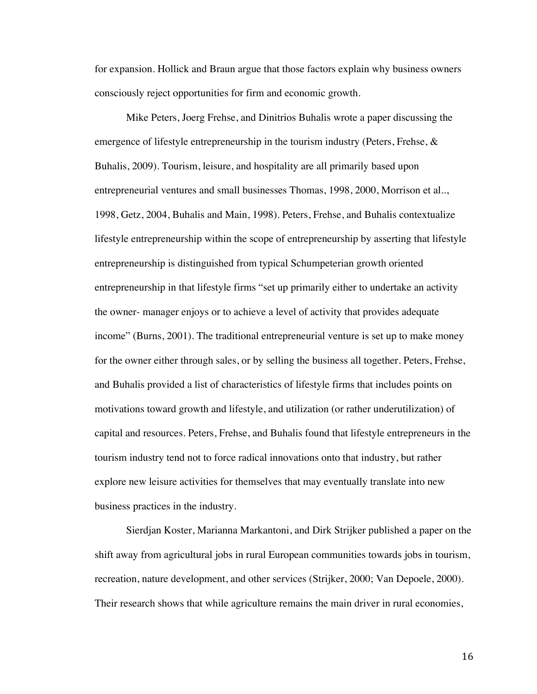for expansion. Hollick and Braun argue that those factors explain why business owners consciously reject opportunities for firm and economic growth.

Mike Peters, Joerg Frehse, and Dinitrios Buhalis wrote a paper discussing the emergence of lifestyle entrepreneurship in the tourism industry (Peters, Frehse,  $\&$ Buhalis, 2009). Tourism, leisure, and hospitality are all primarily based upon entrepreneurial ventures and small businesses Thomas, 1998, 2000, Morrison et al.., 1998, Getz, 2004, Buhalis and Main, 1998). Peters, Frehse, and Buhalis contextualize lifestyle entrepreneurship within the scope of entrepreneurship by asserting that lifestyle entrepreneurship is distinguished from typical Schumpeterian growth oriented entrepreneurship in that lifestyle firms "set up primarily either to undertake an activity the owner- manager enjoys or to achieve a level of activity that provides adequate income" (Burns, 2001). The traditional entrepreneurial venture is set up to make money for the owner either through sales, or by selling the business all together. Peters, Frehse, and Buhalis provided a list of characteristics of lifestyle firms that includes points on motivations toward growth and lifestyle, and utilization (or rather underutilization) of capital and resources. Peters, Frehse, and Buhalis found that lifestyle entrepreneurs in the tourism industry tend not to force radical innovations onto that industry, but rather explore new leisure activities for themselves that may eventually translate into new business practices in the industry.

Sierdjan Koster, Marianna Markantoni, and Dirk Strijker published a paper on the shift away from agricultural jobs in rural European communities towards jobs in tourism, recreation, nature development, and other services (Strijker, 2000; Van Depoele, 2000). Their research shows that while agriculture remains the main driver in rural economies,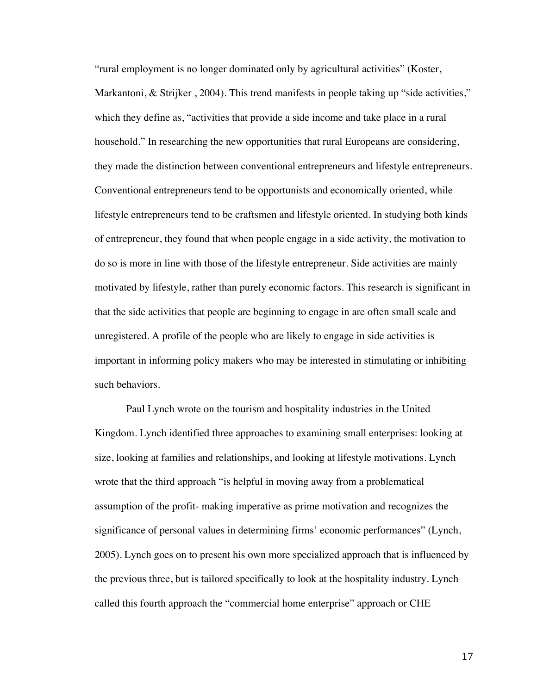"rural employment is no longer dominated only by agricultural activities" (Koster, Markantoni, & Strijker, 2004). This trend manifests in people taking up "side activities," which they define as, "activities that provide a side income and take place in a rural household." In researching the new opportunities that rural Europeans are considering, they made the distinction between conventional entrepreneurs and lifestyle entrepreneurs. Conventional entrepreneurs tend to be opportunists and economically oriented, while lifestyle entrepreneurs tend to be craftsmen and lifestyle oriented. In studying both kinds of entrepreneur, they found that when people engage in a side activity, the motivation to do so is more in line with those of the lifestyle entrepreneur. Side activities are mainly motivated by lifestyle, rather than purely economic factors. This research is significant in that the side activities that people are beginning to engage in are often small scale and unregistered. A profile of the people who are likely to engage in side activities is important in informing policy makers who may be interested in stimulating or inhibiting such behaviors.

Paul Lynch wrote on the tourism and hospitality industries in the United Kingdom. Lynch identified three approaches to examining small enterprises: looking at size, looking at families and relationships, and looking at lifestyle motivations. Lynch wrote that the third approach "is helpful in moving away from a problematical assumption of the profit- making imperative as prime motivation and recognizes the significance of personal values in determining firms' economic performances" (Lynch, 2005). Lynch goes on to present his own more specialized approach that is influenced by the previous three, but is tailored specifically to look at the hospitality industry. Lynch called this fourth approach the "commercial home enterprise" approach or CHE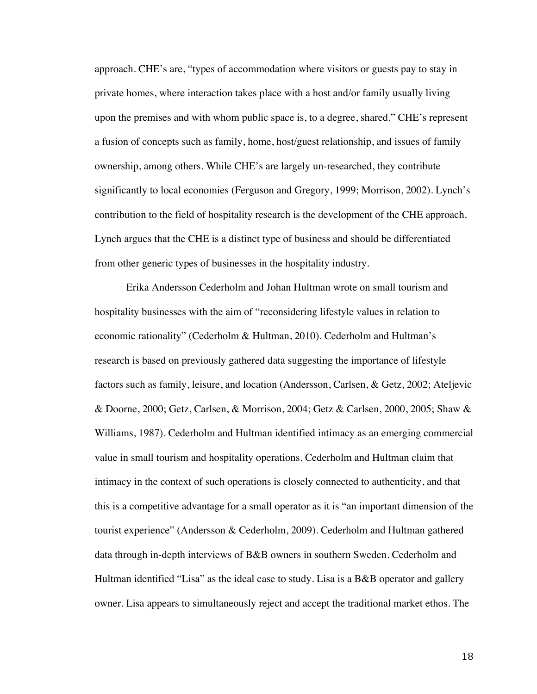approach. CHE's are, "types of accommodation where visitors or guests pay to stay in private homes, where interaction takes place with a host and/or family usually living upon the premises and with whom public space is, to a degree, shared." CHE's represent a fusion of concepts such as family, home, host/guest relationship, and issues of family ownership, among others. While CHE's are largely un-researched, they contribute significantly to local economies (Ferguson and Gregory, 1999; Morrison, 2002). Lynch's contribution to the field of hospitality research is the development of the CHE approach. Lynch argues that the CHE is a distinct type of business and should be differentiated from other generic types of businesses in the hospitality industry.

Erika Andersson Cederholm and Johan Hultman wrote on small tourism and hospitality businesses with the aim of "reconsidering lifestyle values in relation to economic rationality" (Cederholm & Hultman, 2010). Cederholm and Hultman's research is based on previously gathered data suggesting the importance of lifestyle factors such as family, leisure, and location (Andersson, Carlsen, & Getz, 2002; Ateljevic & Doorne, 2000; Getz, Carlsen, & Morrison, 2004; Getz & Carlsen, 2000, 2005; Shaw & Williams, 1987). Cederholm and Hultman identified intimacy as an emerging commercial value in small tourism and hospitality operations. Cederholm and Hultman claim that intimacy in the context of such operations is closely connected to authenticity, and that this is a competitive advantage for a small operator as it is "an important dimension of the tourist experience" (Andersson & Cederholm, 2009). Cederholm and Hultman gathered data through in-depth interviews of B&B owners in southern Sweden. Cederholm and Hultman identified "Lisa" as the ideal case to study. Lisa is a B&B operator and gallery owner. Lisa appears to simultaneously reject and accept the traditional market ethos. The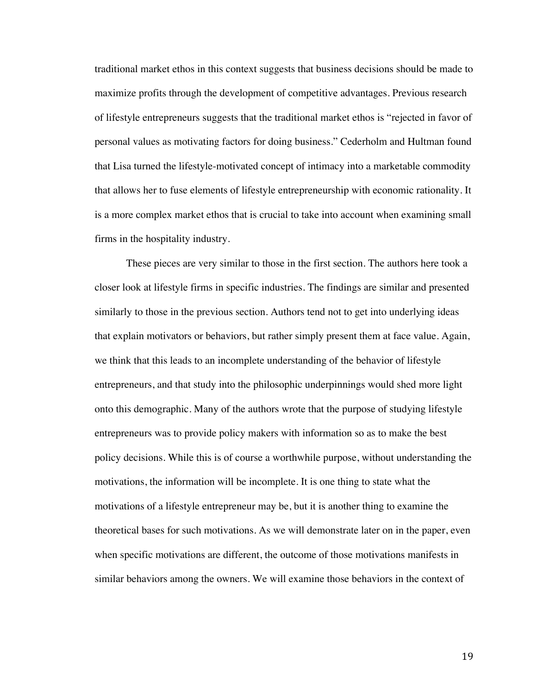traditional market ethos in this context suggests that business decisions should be made to maximize profits through the development of competitive advantages. Previous research of lifestyle entrepreneurs suggests that the traditional market ethos is "rejected in favor of personal values as motivating factors for doing business." Cederholm and Hultman found that Lisa turned the lifestyle-motivated concept of intimacy into a marketable commodity that allows her to fuse elements of lifestyle entrepreneurship with economic rationality. It is a more complex market ethos that is crucial to take into account when examining small firms in the hospitality industry.

These pieces are very similar to those in the first section. The authors here took a closer look at lifestyle firms in specific industries. The findings are similar and presented similarly to those in the previous section. Authors tend not to get into underlying ideas that explain motivators or behaviors, but rather simply present them at face value. Again, we think that this leads to an incomplete understanding of the behavior of lifestyle entrepreneurs, and that study into the philosophic underpinnings would shed more light onto this demographic. Many of the authors wrote that the purpose of studying lifestyle entrepreneurs was to provide policy makers with information so as to make the best policy decisions. While this is of course a worthwhile purpose, without understanding the motivations, the information will be incomplete. It is one thing to state what the motivations of a lifestyle entrepreneur may be, but it is another thing to examine the theoretical bases for such motivations. As we will demonstrate later on in the paper, even when specific motivations are different, the outcome of those motivations manifests in similar behaviors among the owners. We will examine those behaviors in the context of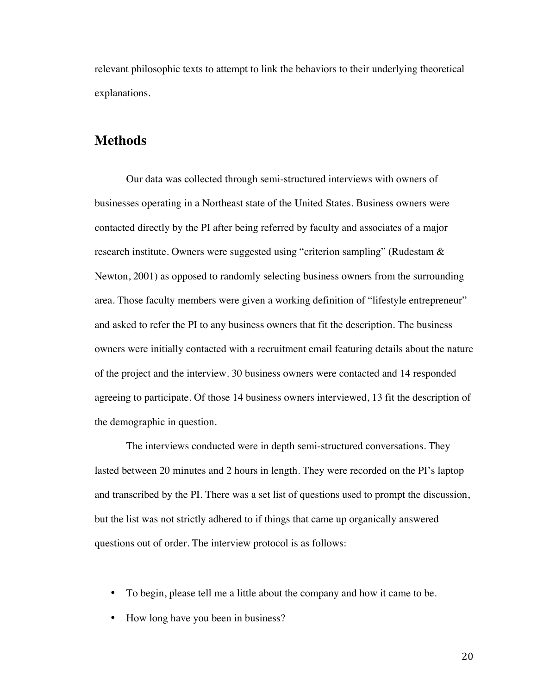relevant philosophic texts to attempt to link the behaviors to their underlying theoretical explanations.

## **Methods**

Our data was collected through semi-structured interviews with owners of businesses operating in a Northeast state of the United States. Business owners were contacted directly by the PI after being referred by faculty and associates of a major research institute. Owners were suggested using "criterion sampling" (Rudestam & Newton, 2001) as opposed to randomly selecting business owners from the surrounding area. Those faculty members were given a working definition of "lifestyle entrepreneur" and asked to refer the PI to any business owners that fit the description. The business owners were initially contacted with a recruitment email featuring details about the nature of the project and the interview. 30 business owners were contacted and 14 responded agreeing to participate. Of those 14 business owners interviewed, 13 fit the description of the demographic in question.

The interviews conducted were in depth semi-structured conversations. They lasted between 20 minutes and 2 hours in length. They were recorded on the PI's laptop and transcribed by the PI. There was a set list of questions used to prompt the discussion, but the list was not strictly adhered to if things that came up organically answered questions out of order. The interview protocol is as follows:

- To begin, please tell me a little about the company and how it came to be.
- How long have you been in business?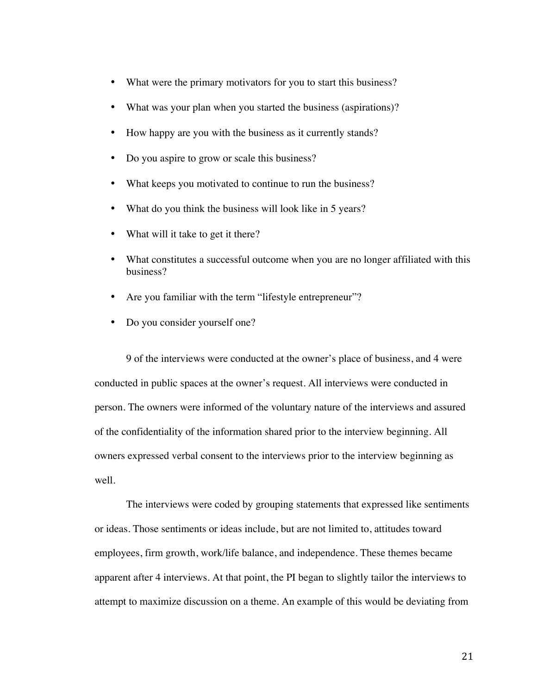- What were the primary motivators for you to start this business?
- What was your plan when you started the business (aspirations)?
- How happy are you with the business as it currently stands?
- Do you aspire to grow or scale this business?
- What keeps you motivated to continue to run the business?
- What do you think the business will look like in 5 years?
- What will it take to get it there?
- What constitutes a successful outcome when you are no longer affiliated with this business?
- Are you familiar with the term "lifestyle entrepreneur"?
- Do you consider yourself one?

9 of the interviews were conducted at the owner's place of business, and 4 were conducted in public spaces at the owner's request. All interviews were conducted in person. The owners were informed of the voluntary nature of the interviews and assured of the confidentiality of the information shared prior to the interview beginning. All owners expressed verbal consent to the interviews prior to the interview beginning as well.

The interviews were coded by grouping statements that expressed like sentiments or ideas. Those sentiments or ideas include, but are not limited to, attitudes toward employees, firm growth, work/life balance, and independence. These themes became apparent after 4 interviews. At that point, the PI began to slightly tailor the interviews to attempt to maximize discussion on a theme. An example of this would be deviating from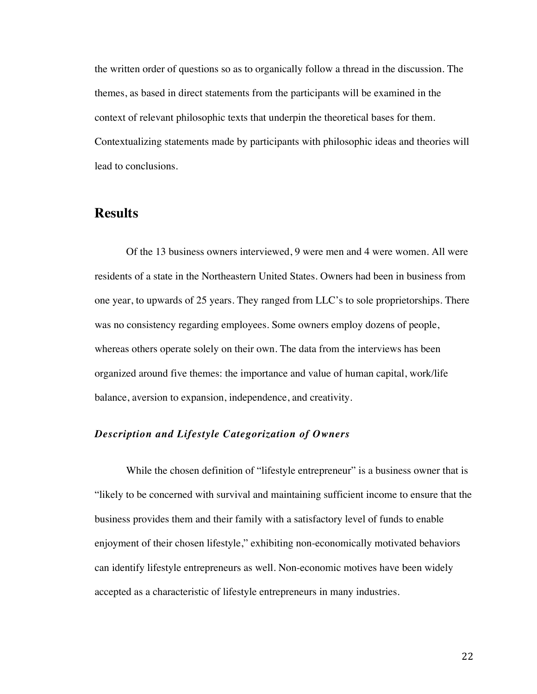the written order of questions so as to organically follow a thread in the discussion. The themes, as based in direct statements from the participants will be examined in the context of relevant philosophic texts that underpin the theoretical bases for them. Contextualizing statements made by participants with philosophic ideas and theories will lead to conclusions.

## **Results**

Of the 13 business owners interviewed, 9 were men and 4 were women. All were residents of a state in the Northeastern United States. Owners had been in business from one year, to upwards of 25 years. They ranged from LLC's to sole proprietorships. There was no consistency regarding employees. Some owners employ dozens of people, whereas others operate solely on their own. The data from the interviews has been organized around five themes: the importance and value of human capital, work/life balance, aversion to expansion, independence, and creativity.

### *Description and Lifestyle Categorization of Owners*

While the chosen definition of "lifestyle entrepreneur" is a business owner that is "likely to be concerned with survival and maintaining sufficient income to ensure that the business provides them and their family with a satisfactory level of funds to enable enjoyment of their chosen lifestyle," exhibiting non-economically motivated behaviors can identify lifestyle entrepreneurs as well. Non-economic motives have been widely accepted as a characteristic of lifestyle entrepreneurs in many industries.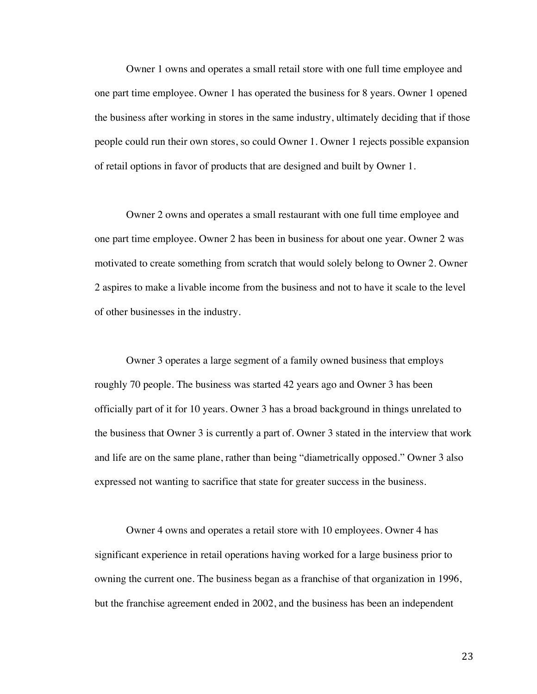Owner 1 owns and operates a small retail store with one full time employee and one part time employee. Owner 1 has operated the business for 8 years. Owner 1 opened the business after working in stores in the same industry, ultimately deciding that if those people could run their own stores, so could Owner 1. Owner 1 rejects possible expansion of retail options in favor of products that are designed and built by Owner 1.

Owner 2 owns and operates a small restaurant with one full time employee and one part time employee. Owner 2 has been in business for about one year. Owner 2 was motivated to create something from scratch that would solely belong to Owner 2. Owner 2 aspires to make a livable income from the business and not to have it scale to the level of other businesses in the industry.

Owner 3 operates a large segment of a family owned business that employs roughly 70 people. The business was started 42 years ago and Owner 3 has been officially part of it for 10 years. Owner 3 has a broad background in things unrelated to the business that Owner 3 is currently a part of. Owner 3 stated in the interview that work and life are on the same plane, rather than being "diametrically opposed." Owner 3 also expressed not wanting to sacrifice that state for greater success in the business.

Owner 4 owns and operates a retail store with 10 employees. Owner 4 has significant experience in retail operations having worked for a large business prior to owning the current one. The business began as a franchise of that organization in 1996, but the franchise agreement ended in 2002, and the business has been an independent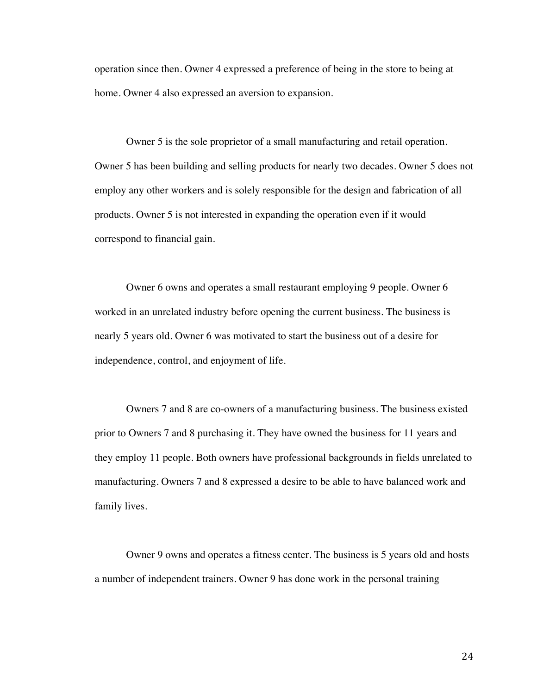operation since then. Owner 4 expressed a preference of being in the store to being at home. Owner 4 also expressed an aversion to expansion.

Owner 5 is the sole proprietor of a small manufacturing and retail operation. Owner 5 has been building and selling products for nearly two decades. Owner 5 does not employ any other workers and is solely responsible for the design and fabrication of all products. Owner 5 is not interested in expanding the operation even if it would correspond to financial gain.

Owner 6 owns and operates a small restaurant employing 9 people. Owner 6 worked in an unrelated industry before opening the current business. The business is nearly 5 years old. Owner 6 was motivated to start the business out of a desire for independence, control, and enjoyment of life.

Owners 7 and 8 are co-owners of a manufacturing business. The business existed prior to Owners 7 and 8 purchasing it. They have owned the business for 11 years and they employ 11 people. Both owners have professional backgrounds in fields unrelated to manufacturing. Owners 7 and 8 expressed a desire to be able to have balanced work and family lives.

Owner 9 owns and operates a fitness center. The business is 5 years old and hosts a number of independent trainers. Owner 9 has done work in the personal training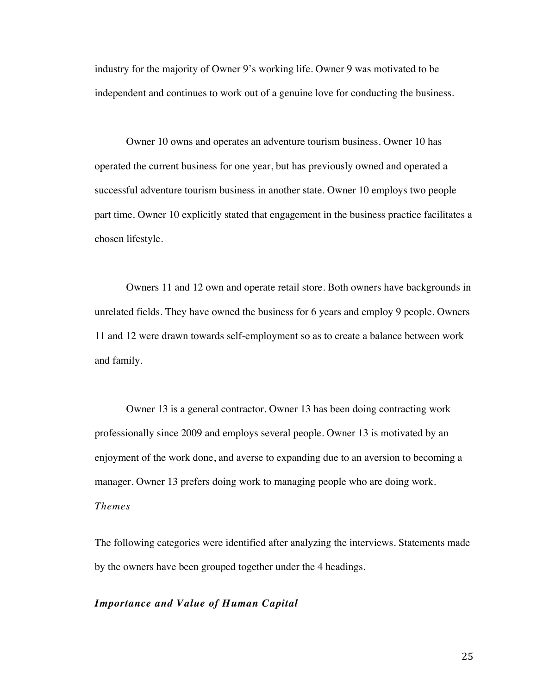industry for the majority of Owner 9's working life. Owner 9 was motivated to be independent and continues to work out of a genuine love for conducting the business.

Owner 10 owns and operates an adventure tourism business. Owner 10 has operated the current business for one year, but has previously owned and operated a successful adventure tourism business in another state. Owner 10 employs two people part time. Owner 10 explicitly stated that engagement in the business practice facilitates a chosen lifestyle.

Owners 11 and 12 own and operate retail store. Both owners have backgrounds in unrelated fields. They have owned the business for 6 years and employ 9 people. Owners 11 and 12 were drawn towards self-employment so as to create a balance between work and family.

Owner 13 is a general contractor. Owner 13 has been doing contracting work professionally since 2009 and employs several people. Owner 13 is motivated by an enjoyment of the work done, and averse to expanding due to an aversion to becoming a manager. Owner 13 prefers doing work to managing people who are doing work. *Themes*

The following categories were identified after analyzing the interviews. Statements made by the owners have been grouped together under the 4 headings.

#### *Importance and Value of Human Capital*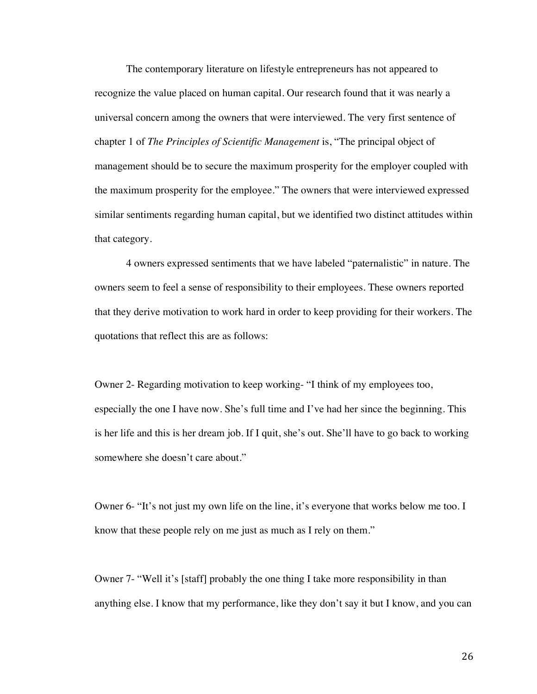The contemporary literature on lifestyle entrepreneurs has not appeared to recognize the value placed on human capital. Our research found that it was nearly a universal concern among the owners that were interviewed. The very first sentence of chapter 1 of *The Principles of Scientific Management* is, "The principal object of management should be to secure the maximum prosperity for the employer coupled with the maximum prosperity for the employee." The owners that were interviewed expressed similar sentiments regarding human capital, but we identified two distinct attitudes within that category.

4 owners expressed sentiments that we have labeled "paternalistic" in nature. The owners seem to feel a sense of responsibility to their employees. These owners reported that they derive motivation to work hard in order to keep providing for their workers. The quotations that reflect this are as follows:

Owner 2- Regarding motivation to keep working- "I think of my employees too, especially the one I have now. She's full time and I've had her since the beginning. This is her life and this is her dream job. If I quit, she's out. She'll have to go back to working somewhere she doesn't care about."

Owner 6- "It's not just my own life on the line, it's everyone that works below me too. I know that these people rely on me just as much as I rely on them."

Owner 7- "Well it's [staff] probably the one thing I take more responsibility in than anything else. I know that my performance, like they don't say it but I know, and you can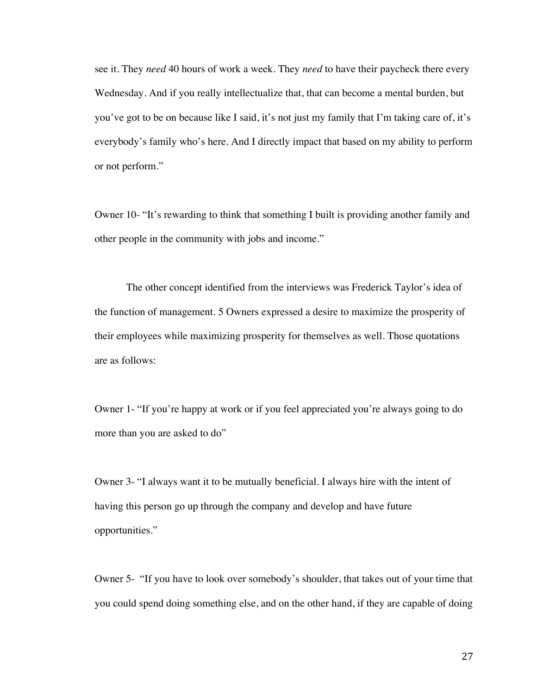see it. They *need* 40 hours of work a week. They *need* to have their paycheck there every Wednesday. And if you really intellectualize that, that can become a mental burden, but you've got to be on because like I said, it's not just my family that I'm taking care of, it's everybody's family who's here. And I directly impact that based on my ability to perform or not perform."

Owner 10- "It's rewarding to think that something I built is providing another family and other people in the community with jobs and income."

The other concept identified from the interviews was Frederick Taylor's idea of the function of management. 5 Owners expressed a desire to maximize the prosperity of their employees while maximizing prosperity for themselves as well. Those quotations are as follows:

Owner 1- "If you're happy at work or if you feel appreciated you're always going to do more than you are asked to do"

Owner 3- "I always want it to be mutually beneficial. I always hire with the intent of having this person go up through the company and develop and have future opportunities."

Owner 5- "If you have to look over somebody's shoulder, that takes out of your time that you could spend doing something else, and on the other hand, if they are capable of doing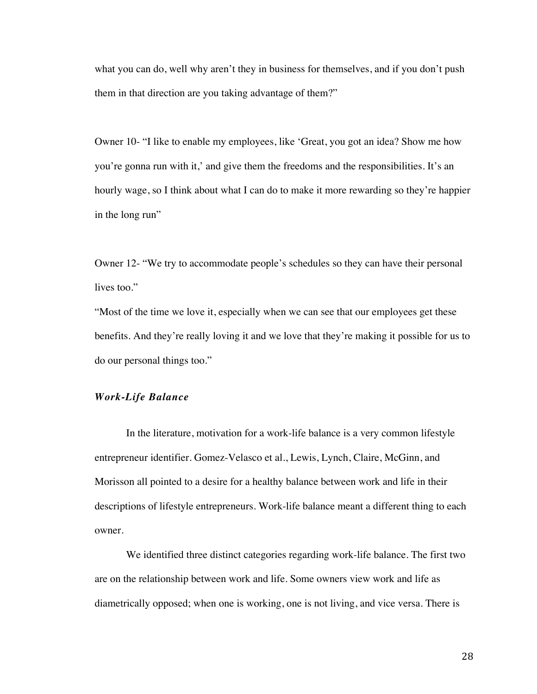what you can do, well why aren't they in business for themselves, and if you don't push them in that direction are you taking advantage of them?"

Owner 10- "I like to enable my employees, like 'Great, you got an idea? Show me how you're gonna run with it,' and give them the freedoms and the responsibilities. It's an hourly wage, so I think about what I can do to make it more rewarding so they're happier in the long run"

Owner 12- "We try to accommodate people's schedules so they can have their personal lives too."

"Most of the time we love it, especially when we can see that our employees get these benefits. And they're really loving it and we love that they're making it possible for us to do our personal things too."

### *Work-Life Balance*

In the literature, motivation for a work-life balance is a very common lifestyle entrepreneur identifier. Gomez-Velasco et al., Lewis, Lynch, Claire, McGinn, and Morisson all pointed to a desire for a healthy balance between work and life in their descriptions of lifestyle entrepreneurs. Work-life balance meant a different thing to each owner.

We identified three distinct categories regarding work-life balance. The first two are on the relationship between work and life. Some owners view work and life as diametrically opposed; when one is working, one is not living, and vice versa. There is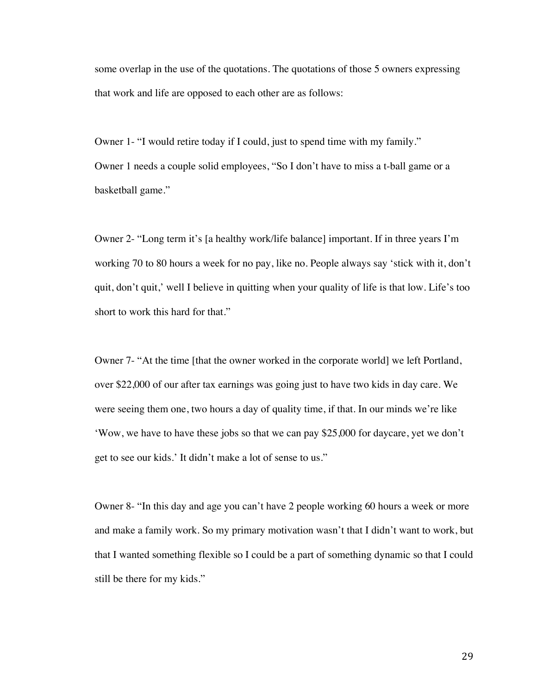some overlap in the use of the quotations. The quotations of those 5 owners expressing that work and life are opposed to each other are as follows:

Owner 1- "I would retire today if I could, just to spend time with my family." Owner 1 needs a couple solid employees, "So I don't have to miss a t-ball game or a basketball game."

Owner 2- "Long term it's [a healthy work/life balance] important. If in three years I'm working 70 to 80 hours a week for no pay, like no. People always say 'stick with it, don't quit, don't quit,' well I believe in quitting when your quality of life is that low. Life's too short to work this hard for that."

Owner 7- "At the time [that the owner worked in the corporate world] we left Portland, over \$22,000 of our after tax earnings was going just to have two kids in day care. We were seeing them one, two hours a day of quality time, if that. In our minds we're like 'Wow, we have to have these jobs so that we can pay \$25,000 for daycare, yet we don't get to see our kids.' It didn't make a lot of sense to us."

Owner 8- "In this day and age you can't have 2 people working 60 hours a week or more and make a family work. So my primary motivation wasn't that I didn't want to work, but that I wanted something flexible so I could be a part of something dynamic so that I could still be there for my kids."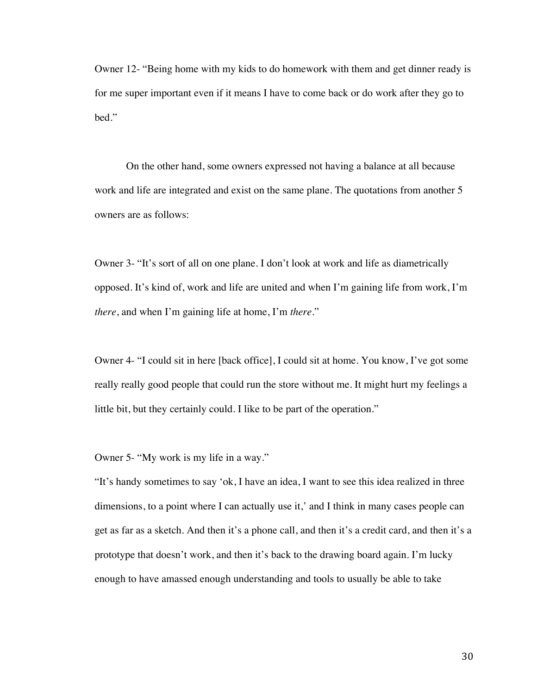Owner 12- "Being home with my kids to do homework with them and get dinner ready is for me super important even if it means I have to come back or do work after they go to bed."

On the other hand, some owners expressed not having a balance at all because work and life are integrated and exist on the same plane. The quotations from another 5 owners are as follows:

Owner 3- "It's sort of all on one plane. I don't look at work and life as diametrically opposed. It's kind of, work and life are united and when I'm gaining life from work, I'm *there*, and when I'm gaining life at home, I'm *there*."

Owner 4- "I could sit in here [back office], I could sit at home. You know, I've got some really really good people that could run the store without me. It might hurt my feelings a little bit, but they certainly could. I like to be part of the operation."

Owner 5- "My work is my life in a way."

"It's handy sometimes to say 'ok, I have an idea, I want to see this idea realized in three dimensions, to a point where I can actually use it,' and I think in many cases people can get as far as a sketch. And then it's a phone call, and then it's a credit card, and then it's a prototype that doesn't work, and then it's back to the drawing board again. I'm lucky enough to have amassed enough understanding and tools to usually be able to take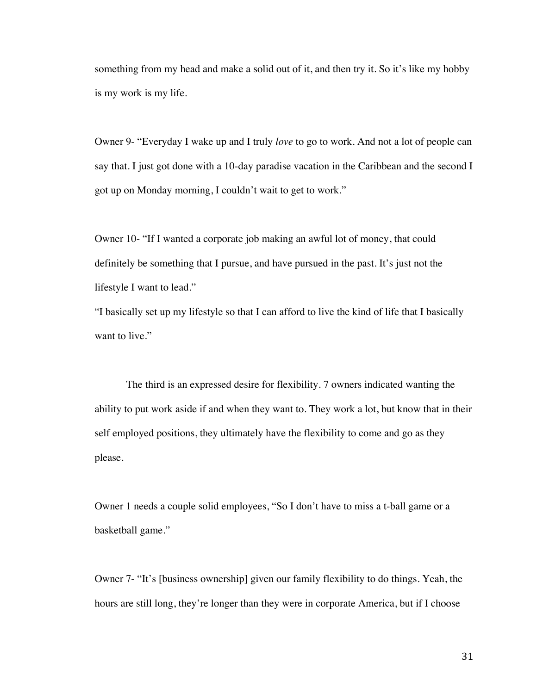something from my head and make a solid out of it, and then try it. So it's like my hobby is my work is my life.

Owner 9- "Everyday I wake up and I truly *love* to go to work. And not a lot of people can say that. I just got done with a 10-day paradise vacation in the Caribbean and the second I got up on Monday morning, I couldn't wait to get to work."

Owner 10- "If I wanted a corporate job making an awful lot of money, that could definitely be something that I pursue, and have pursued in the past. It's just not the lifestyle I want to lead."

"I basically set up my lifestyle so that I can afford to live the kind of life that I basically want to live."

The third is an expressed desire for flexibility. 7 owners indicated wanting the ability to put work aside if and when they want to. They work a lot, but know that in their self employed positions, they ultimately have the flexibility to come and go as they please.

Owner 1 needs a couple solid employees, "So I don't have to miss a t-ball game or a basketball game."

Owner 7- "It's [business ownership] given our family flexibility to do things. Yeah, the hours are still long, they're longer than they were in corporate America, but if I choose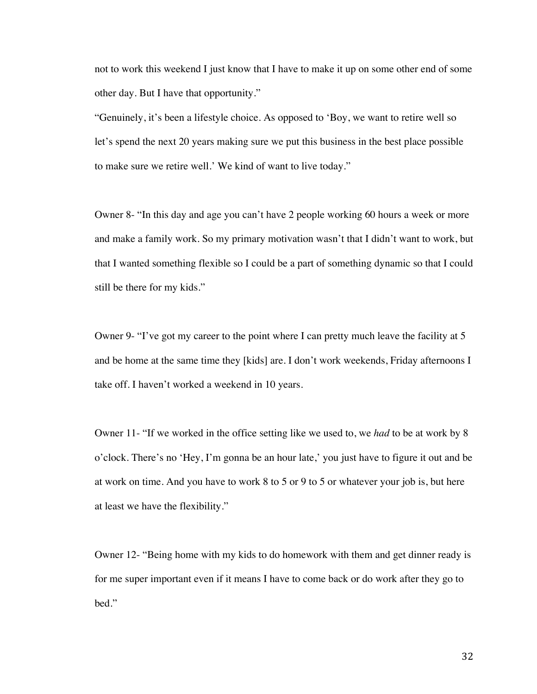not to work this weekend I just know that I have to make it up on some other end of some other day. But I have that opportunity."

"Genuinely, it's been a lifestyle choice. As opposed to 'Boy, we want to retire well so let's spend the next 20 years making sure we put this business in the best place possible to make sure we retire well.' We kind of want to live today."

Owner 8- "In this day and age you can't have 2 people working 60 hours a week or more and make a family work. So my primary motivation wasn't that I didn't want to work, but that I wanted something flexible so I could be a part of something dynamic so that I could still be there for my kids."

Owner 9- "I've got my career to the point where I can pretty much leave the facility at 5 and be home at the same time they [kids] are. I don't work weekends, Friday afternoons I take off. I haven't worked a weekend in 10 years.

Owner 11- "If we worked in the office setting like we used to, we *had* to be at work by 8 o'clock. There's no 'Hey, I'm gonna be an hour late,' you just have to figure it out and be at work on time. And you have to work 8 to 5 or 9 to 5 or whatever your job is, but here at least we have the flexibility."

Owner 12- "Being home with my kids to do homework with them and get dinner ready is for me super important even if it means I have to come back or do work after they go to bed."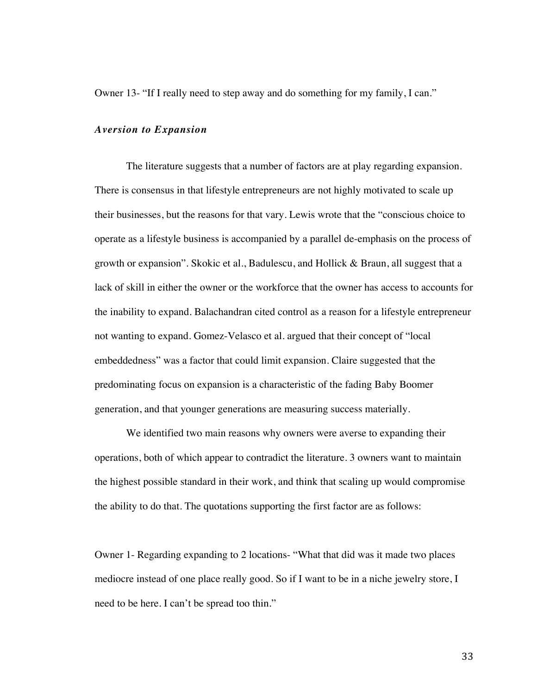Owner 13- "If I really need to step away and do something for my family, I can."

#### *Aversion to Expansion*

The literature suggests that a number of factors are at play regarding expansion. There is consensus in that lifestyle entrepreneurs are not highly motivated to scale up their businesses, but the reasons for that vary. Lewis wrote that the "conscious choice to operate as a lifestyle business is accompanied by a parallel de-emphasis on the process of growth or expansion". Skokic et al., Badulescu, and Hollick  $\&$  Braun, all suggest that a lack of skill in either the owner or the workforce that the owner has access to accounts for the inability to expand. Balachandran cited control as a reason for a lifestyle entrepreneur not wanting to expand. Gomez-Velasco et al. argued that their concept of "local embeddedness" was a factor that could limit expansion. Claire suggested that the predominating focus on expansion is a characteristic of the fading Baby Boomer generation, and that younger generations are measuring success materially.

We identified two main reasons why owners were averse to expanding their operations, both of which appear to contradict the literature. 3 owners want to maintain the highest possible standard in their work, and think that scaling up would compromise the ability to do that. The quotations supporting the first factor are as follows:

Owner 1- Regarding expanding to 2 locations- "What that did was it made two places mediocre instead of one place really good. So if I want to be in a niche jewelry store, I need to be here. I can't be spread too thin."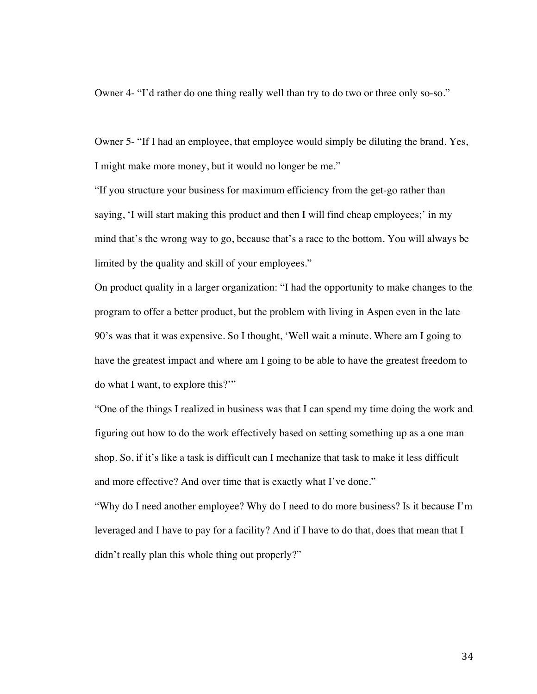Owner 4- "I'd rather do one thing really well than try to do two or three only so-so."

Owner 5- "If I had an employee, that employee would simply be diluting the brand. Yes, I might make more money, but it would no longer be me."

"If you structure your business for maximum efficiency from the get-go rather than saying, 'I will start making this product and then I will find cheap employees;' in my mind that's the wrong way to go, because that's a race to the bottom. You will always be limited by the quality and skill of your employees."

On product quality in a larger organization: "I had the opportunity to make changes to the program to offer a better product, but the problem with living in Aspen even in the late 90's was that it was expensive. So I thought, 'Well wait a minute. Where am I going to have the greatest impact and where am I going to be able to have the greatest freedom to do what I want, to explore this?'"

"One of the things I realized in business was that I can spend my time doing the work and figuring out how to do the work effectively based on setting something up as a one man shop. So, if it's like a task is difficult can I mechanize that task to make it less difficult and more effective? And over time that is exactly what I've done."

"Why do I need another employee? Why do I need to do more business? Is it because I'm leveraged and I have to pay for a facility? And if I have to do that, does that mean that I didn't really plan this whole thing out properly?"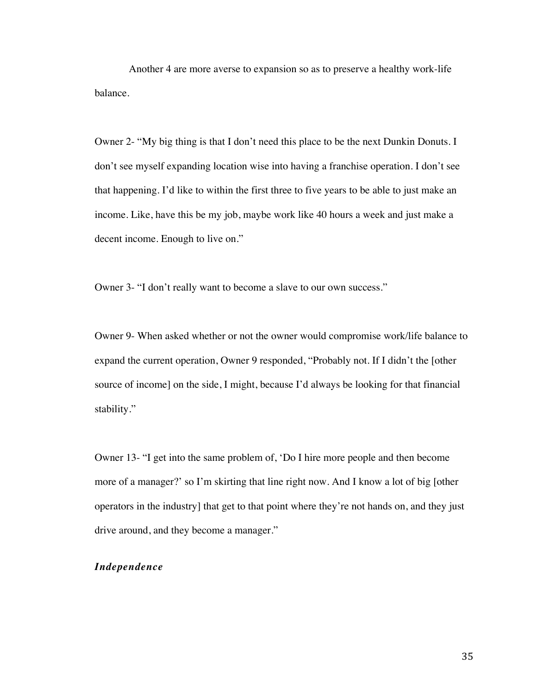Another 4 are more averse to expansion so as to preserve a healthy work-life balance.

Owner 2- "My big thing is that I don't need this place to be the next Dunkin Donuts. I don't see myself expanding location wise into having a franchise operation. I don't see that happening. I'd like to within the first three to five years to be able to just make an income. Like, have this be my job, maybe work like 40 hours a week and just make a decent income. Enough to live on."

Owner 3- "I don't really want to become a slave to our own success."

Owner 9- When asked whether or not the owner would compromise work/life balance to expand the current operation, Owner 9 responded, "Probably not. If I didn't the [other source of income] on the side, I might, because I'd always be looking for that financial stability."

Owner 13- "I get into the same problem of, 'Do I hire more people and then become more of a manager?' so I'm skirting that line right now. And I know a lot of big [other operators in the industry] that get to that point where they're not hands on, and they just drive around, and they become a manager."

## *Independence*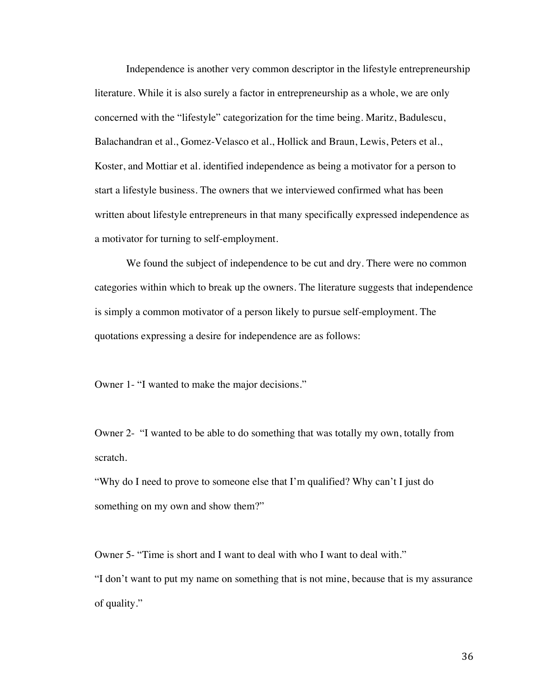Independence is another very common descriptor in the lifestyle entrepreneurship literature. While it is also surely a factor in entrepreneurship as a whole, we are only concerned with the "lifestyle" categorization for the time being. Maritz, Badulescu, Balachandran et al., Gomez-Velasco et al., Hollick and Braun, Lewis, Peters et al., Koster, and Mottiar et al. identified independence as being a motivator for a person to start a lifestyle business. The owners that we interviewed confirmed what has been written about lifestyle entrepreneurs in that many specifically expressed independence as a motivator for turning to self-employment.

We found the subject of independence to be cut and dry. There were no common categories within which to break up the owners. The literature suggests that independence is simply a common motivator of a person likely to pursue self-employment. The quotations expressing a desire for independence are as follows:

Owner 1- "I wanted to make the major decisions."

Owner 2- "I wanted to be able to do something that was totally my own, totally from scratch.

"Why do I need to prove to someone else that I'm qualified? Why can't I just do something on my own and show them?"

Owner 5- "Time is short and I want to deal with who I want to deal with." "I don't want to put my name on something that is not mine, because that is my assurance of quality."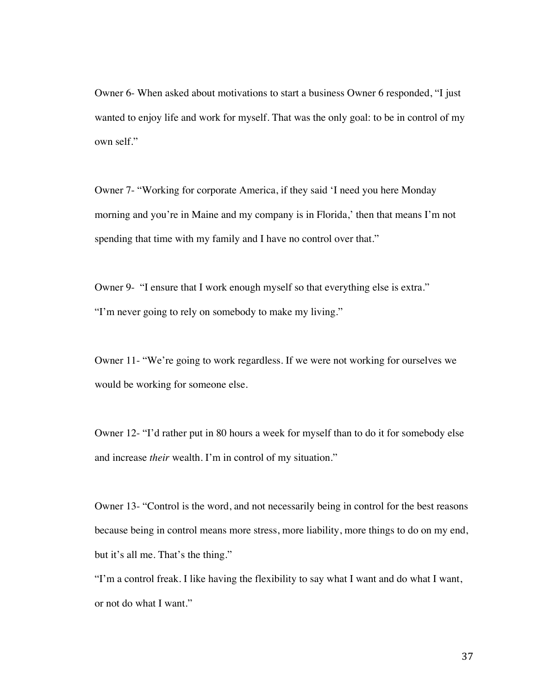Owner 6- When asked about motivations to start a business Owner 6 responded, "I just wanted to enjoy life and work for myself. That was the only goal: to be in control of my own self."

Owner 7- "Working for corporate America, if they said 'I need you here Monday morning and you're in Maine and my company is in Florida,' then that means I'm not spending that time with my family and I have no control over that."

Owner 9- "I ensure that I work enough myself so that everything else is extra." "I'm never going to rely on somebody to make my living."

Owner 11- "We're going to work regardless. If we were not working for ourselves we would be working for someone else.

Owner 12- "I'd rather put in 80 hours a week for myself than to do it for somebody else and increase *their* wealth. I'm in control of my situation."

Owner 13- "Control is the word, and not necessarily being in control for the best reasons because being in control means more stress, more liability, more things to do on my end, but it's all me. That's the thing."

"I'm a control freak. I like having the flexibility to say what I want and do what I want, or not do what I want."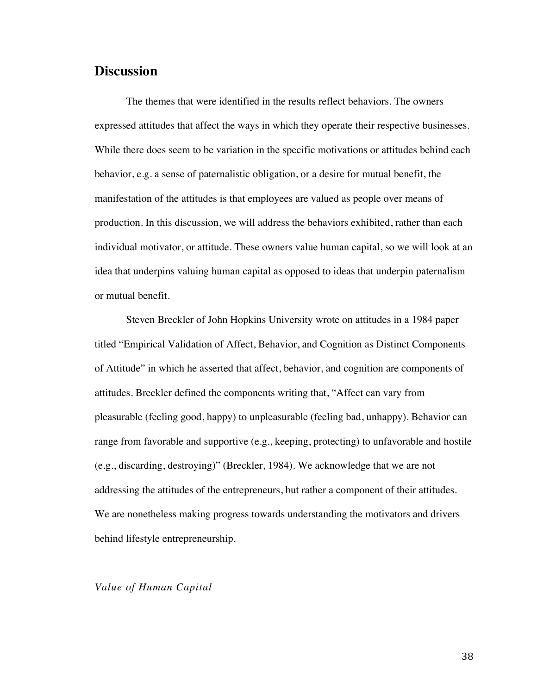# **Discussion**

The themes that were identified in the results reflect behaviors. The owners expressed attitudes that affect the ways in which they operate their respective businesses. While there does seem to be variation in the specific motivations or attitudes behind each behavior, e.g. a sense of paternalistic obligation, or a desire for mutual benefit, the manifestation of the attitudes is that employees are valued as people over means of production. In this discussion, we will address the behaviors exhibited, rather than each individual motivator, or attitude. These owners value human capital, so we will look at an idea that underpins valuing human capital as opposed to ideas that underpin paternalism or mutual benefit.

Steven Breckler of John Hopkins University wrote on attitudes in a 1984 paper titled "Empirical Validation of Affect, Behavior, and Cognition as Distinct Components of Attitude" in which he asserted that affect, behavior, and cognition are components of attitudes. Breckler defined the components writing that, "Affect can vary from pleasurable (feeling good, happy) to unpleasurable (feeling bad, unhappy). Behavior can range from favorable and supportive (e.g., keeping, protecting) to unfavorable and hostile (e.g., discarding, destroying)" (Breckler, 1984). We acknowledge that we are not addressing the attitudes of the entrepreneurs, but rather a component of their attitudes. We are nonetheless making progress towards understanding the motivators and drivers behind lifestyle entrepreneurship.

## *Value of Human Capital*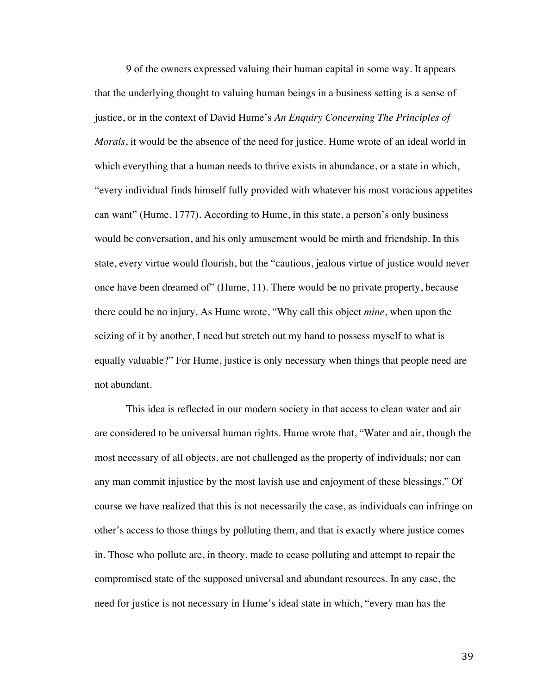9 of the owners expressed valuing their human capital in some way. It appears that the underlying thought to valuing human beings in a business setting is a sense of justice, or in the context of David Hume's *An Enquiry Concerning The Principles of Morals*, it would be the absence of the need for justice. Hume wrote of an ideal world in which everything that a human needs to thrive exists in abundance, or a state in which, "every individual finds himself fully provided with whatever his most voracious appetites can want" (Hume, 1777). According to Hume, in this state, a person's only business would be conversation, and his only amusement would be mirth and friendship. In this state, every virtue would flourish, but the "cautious, jealous virtue of justice would never once have been dreamed of" (Hume, 11). There would be no private property, because there could be no injury. As Hume wrote, "Why call this object *mine*, when upon the seizing of it by another, I need but stretch out my hand to possess myself to what is equally valuable?" For Hume, justice is only necessary when things that people need are not abundant.

This idea is reflected in our modern society in that access to clean water and air are considered to be universal human rights. Hume wrote that, "Water and air, though the most necessary of all objects, are not challenged as the property of individuals; nor can any man commit injustice by the most lavish use and enjoyment of these blessings." Of course we have realized that this is not necessarily the case, as individuals can infringe on other's access to those things by polluting them, and that is exactly where justice comes in. Those who pollute are, in theory, made to cease polluting and attempt to repair the compromised state of the supposed universal and abundant resources. In any case, the need for justice is not necessary in Hume's ideal state in which, "every man has the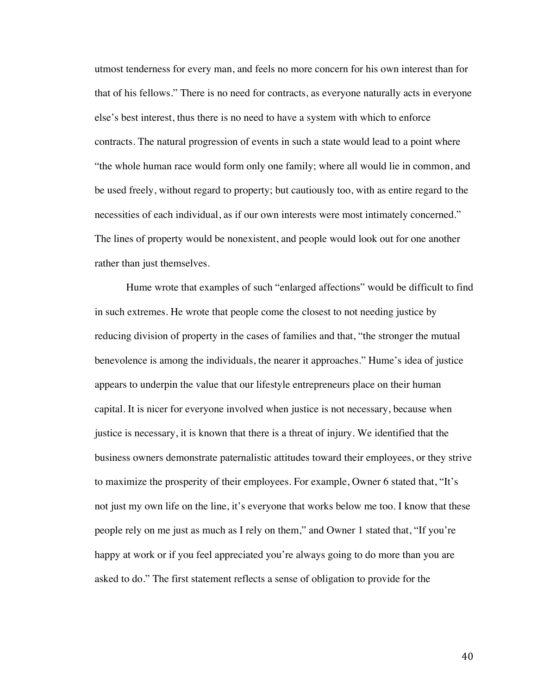utmost tenderness for every man, and feels no more concern for his own interest than for that of his fellows." There is no need for contracts, as everyone naturally acts in everyone else's best interest, thus there is no need to have a system with which to enforce contracts. The natural progression of events in such a state would lead to a point where "the whole human race would form only one family; where all would lie in common, and be used freely, without regard to property; but cautiously too, with as entire regard to the necessities of each individual, as if our own interests were most intimately concerned." The lines of property would be nonexistent, and people would look out for one another rather than just themselves.

Hume wrote that examples of such "enlarged affections" would be difficult to find in such extremes. He wrote that people come the closest to not needing justice by reducing division of property in the cases of families and that, "the stronger the mutual benevolence is among the individuals, the nearer it approaches." Hume's idea of justice appears to underpin the value that our lifestyle entrepreneurs place on their human capital. It is nicer for everyone involved when justice is not necessary, because when justice is necessary, it is known that there is a threat of injury. We identified that the business owners demonstrate paternalistic attitudes toward their employees, or they strive to maximize the prosperity of their employees. For example, Owner 6 stated that, "It's not just my own life on the line, it's everyone that works below me too. I know that these people rely on me just as much as I rely on them," and Owner 1 stated that, "If you're happy at work or if you feel appreciated you're always going to do more than you are asked to do." The first statement reflects a sense of obligation to provide for the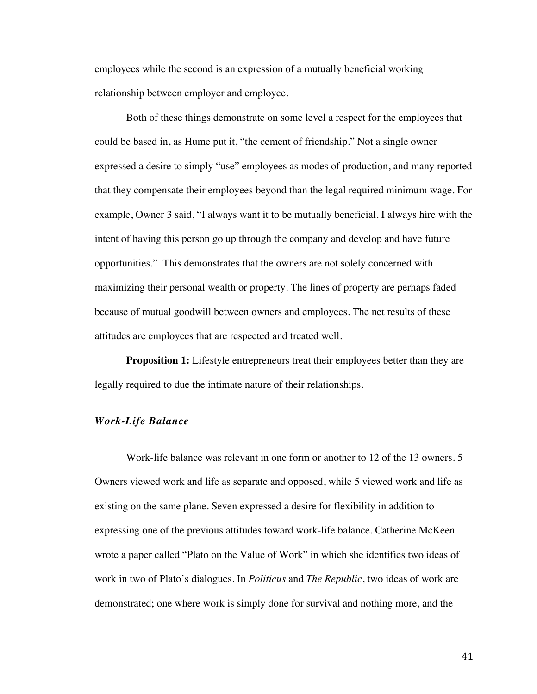employees while the second is an expression of a mutually beneficial working relationship between employer and employee.

Both of these things demonstrate on some level a respect for the employees that could be based in, as Hume put it, "the cement of friendship." Not a single owner expressed a desire to simply "use" employees as modes of production, and many reported that they compensate their employees beyond than the legal required minimum wage. For example, Owner 3 said, "I always want it to be mutually beneficial. I always hire with the intent of having this person go up through the company and develop and have future opportunities." This demonstrates that the owners are not solely concerned with maximizing their personal wealth or property. The lines of property are perhaps faded because of mutual goodwill between owners and employees. The net results of these attitudes are employees that are respected and treated well.

**Proposition 1:** Lifestyle entrepreneurs treat their employees better than they are legally required to due the intimate nature of their relationships.

# *Work-Life Balance*

Work-life balance was relevant in one form or another to 12 of the 13 owners. 5 Owners viewed work and life as separate and opposed, while 5 viewed work and life as existing on the same plane. Seven expressed a desire for flexibility in addition to expressing one of the previous attitudes toward work-life balance. Catherine McKeen wrote a paper called "Plato on the Value of Work" in which she identifies two ideas of work in two of Plato's dialogues. In *Politicus* and *The Republic*, two ideas of work are demonstrated; one where work is simply done for survival and nothing more, and the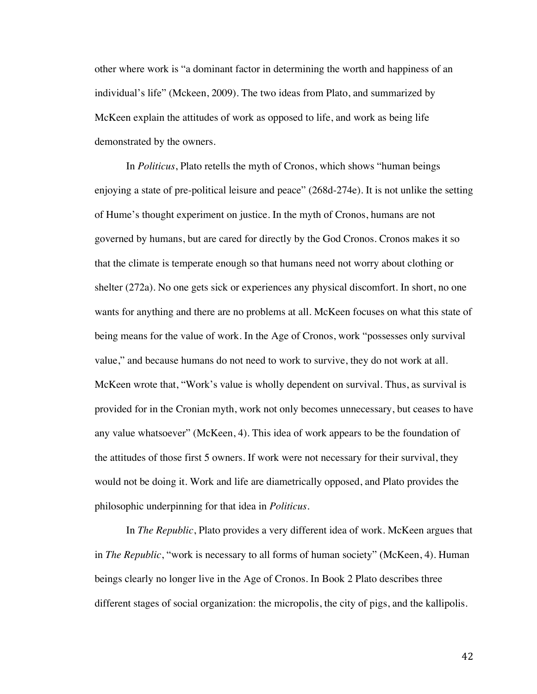other where work is "a dominant factor in determining the worth and happiness of an individual's life" (Mckeen, 2009). The two ideas from Plato, and summarized by McKeen explain the attitudes of work as opposed to life, and work as being life demonstrated by the owners.

In *Politicus*, Plato retells the myth of Cronos, which shows "human beings enjoying a state of pre-political leisure and peace" (268d-274e). It is not unlike the setting of Hume's thought experiment on justice. In the myth of Cronos, humans are not governed by humans, but are cared for directly by the God Cronos. Cronos makes it so that the climate is temperate enough so that humans need not worry about clothing or shelter (272a). No one gets sick or experiences any physical discomfort. In short, no one wants for anything and there are no problems at all. McKeen focuses on what this state of being means for the value of work. In the Age of Cronos, work "possesses only survival value," and because humans do not need to work to survive, they do not work at all. McKeen wrote that, "Work's value is wholly dependent on survival. Thus, as survival is provided for in the Cronian myth, work not only becomes unnecessary, but ceases to have any value whatsoever" (McKeen, 4). This idea of work appears to be the foundation of the attitudes of those first 5 owners. If work were not necessary for their survival, they would not be doing it. Work and life are diametrically opposed, and Plato provides the philosophic underpinning for that idea in *Politicus*.

In *The Republic*, Plato provides a very different idea of work. McKeen argues that in *The Republic*, "work is necessary to all forms of human society" (McKeen, 4). Human beings clearly no longer live in the Age of Cronos. In Book 2 Plato describes three different stages of social organization: the micropolis, the city of pigs, and the kallipolis.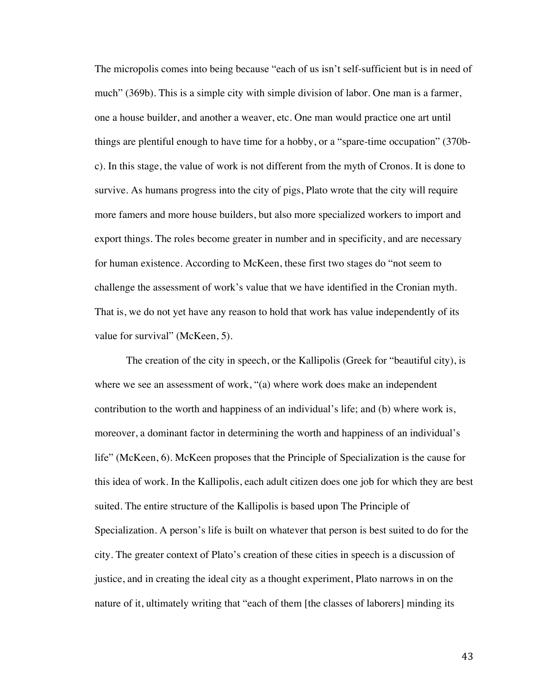The micropolis comes into being because "each of us isn't self-sufficient but is in need of much" (369b). This is a simple city with simple division of labor. One man is a farmer, one a house builder, and another a weaver, etc. One man would practice one art until things are plentiful enough to have time for a hobby, or a "spare-time occupation" (370bc). In this stage, the value of work is not different from the myth of Cronos. It is done to survive. As humans progress into the city of pigs, Plato wrote that the city will require more famers and more house builders, but also more specialized workers to import and export things. The roles become greater in number and in specificity, and are necessary for human existence. According to McKeen, these first two stages do "not seem to challenge the assessment of work's value that we have identified in the Cronian myth. That is, we do not yet have any reason to hold that work has value independently of its value for survival" (McKeen, 5).

The creation of the city in speech, or the Kallipolis (Greek for "beautiful city), is where we see an assessment of work, "(a) where work does make an independent contribution to the worth and happiness of an individual's life; and (b) where work is, moreover, a dominant factor in determining the worth and happiness of an individual's life" (McKeen, 6). McKeen proposes that the Principle of Specialization is the cause for this idea of work. In the Kallipolis, each adult citizen does one job for which they are best suited. The entire structure of the Kallipolis is based upon The Principle of Specialization. A person's life is built on whatever that person is best suited to do for the city. The greater context of Plato's creation of these cities in speech is a discussion of justice, and in creating the ideal city as a thought experiment, Plato narrows in on the nature of it, ultimately writing that "each of them [the classes of laborers] minding its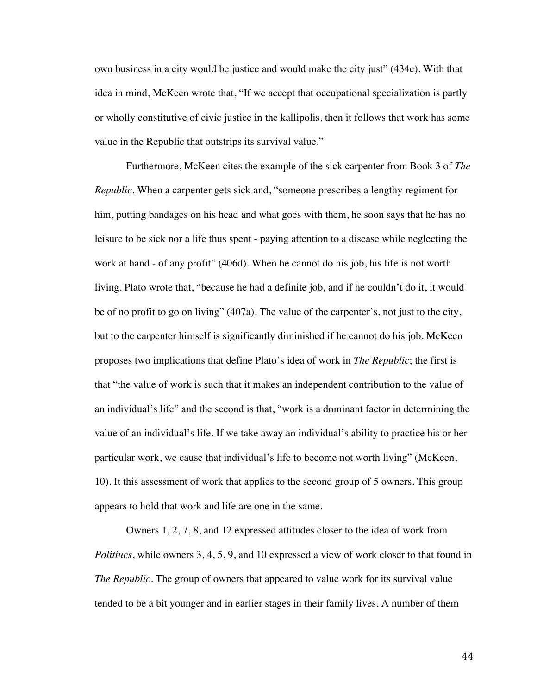own business in a city would be justice and would make the city just" (434c). With that idea in mind, McKeen wrote that, "If we accept that occupational specialization is partly or wholly constitutive of civic justice in the kallipolis, then it follows that work has some value in the Republic that outstrips its survival value."

Furthermore, McKeen cites the example of the sick carpenter from Book 3 of *The Republic*. When a carpenter gets sick and, "someone prescribes a lengthy regiment for him, putting bandages on his head and what goes with them, he soon says that he has no leisure to be sick nor a life thus spent - paying attention to a disease while neglecting the work at hand - of any profit" (406d). When he cannot do his job, his life is not worth living. Plato wrote that, "because he had a definite job, and if he couldn't do it, it would be of no profit to go on living" (407a). The value of the carpenter's, not just to the city, but to the carpenter himself is significantly diminished if he cannot do his job. McKeen proposes two implications that define Plato's idea of work in *The Republic*; the first is that "the value of work is such that it makes an independent contribution to the value of an individual's life" and the second is that, "work is a dominant factor in determining the value of an individual's life. If we take away an individual's ability to practice his or her particular work, we cause that individual's life to become not worth living" (McKeen, 10). It this assessment of work that applies to the second group of 5 owners. This group appears to hold that work and life are one in the same.

Owners 1, 2, 7, 8, and 12 expressed attitudes closer to the idea of work from *Politiucs*, while owners 3, 4, 5, 9, and 10 expressed a view of work closer to that found in *The Republic*. The group of owners that appeared to value work for its survival value tended to be a bit younger and in earlier stages in their family lives. A number of them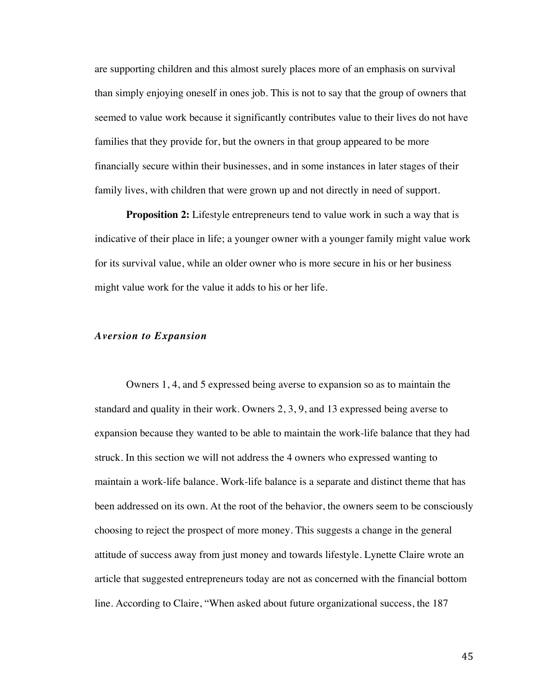are supporting children and this almost surely places more of an emphasis on survival than simply enjoying oneself in ones job. This is not to say that the group of owners that seemed to value work because it significantly contributes value to their lives do not have families that they provide for, but the owners in that group appeared to be more financially secure within their businesses, and in some instances in later stages of their family lives, with children that were grown up and not directly in need of support.

**Proposition 2:** Lifestyle entrepreneurs tend to value work in such a way that is indicative of their place in life; a younger owner with a younger family might value work for its survival value, while an older owner who is more secure in his or her business might value work for the value it adds to his or her life.

#### *Aversion to Expansion*

Owners 1, 4, and 5 expressed being averse to expansion so as to maintain the standard and quality in their work. Owners 2, 3, 9, and 13 expressed being averse to expansion because they wanted to be able to maintain the work-life balance that they had struck. In this section we will not address the 4 owners who expressed wanting to maintain a work-life balance. Work-life balance is a separate and distinct theme that has been addressed on its own. At the root of the behavior, the owners seem to be consciously choosing to reject the prospect of more money. This suggests a change in the general attitude of success away from just money and towards lifestyle. Lynette Claire wrote an article that suggested entrepreneurs today are not as concerned with the financial bottom line. According to Claire, "When asked about future organizational success, the 187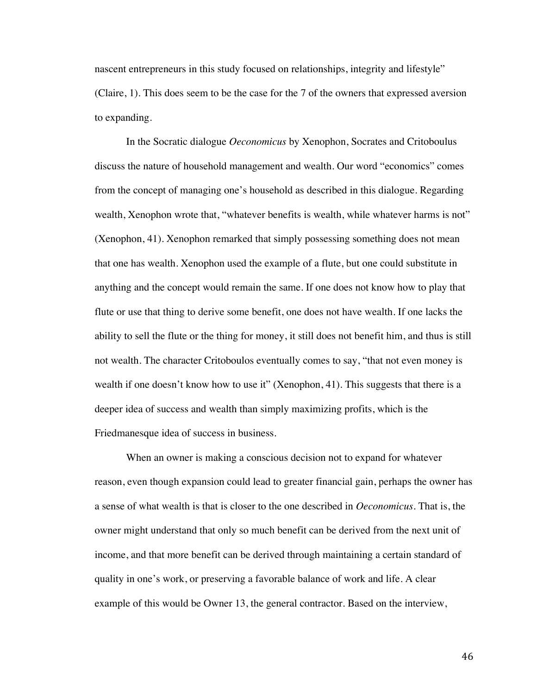nascent entrepreneurs in this study focused on relationships, integrity and lifestyle" (Claire, 1). This does seem to be the case for the 7 of the owners that expressed aversion to expanding.

In the Socratic dialogue *Oeconomicus* by Xenophon, Socrates and Critoboulus discuss the nature of household management and wealth. Our word "economics" comes from the concept of managing one's household as described in this dialogue. Regarding wealth, Xenophon wrote that, "whatever benefits is wealth, while whatever harms is not" (Xenophon, 41). Xenophon remarked that simply possessing something does not mean that one has wealth. Xenophon used the example of a flute, but one could substitute in anything and the concept would remain the same. If one does not know how to play that flute or use that thing to derive some benefit, one does not have wealth. If one lacks the ability to sell the flute or the thing for money, it still does not benefit him, and thus is still not wealth. The character Critoboulos eventually comes to say, "that not even money is wealth if one doesn't know how to use it" (Xenophon, 41). This suggests that there is a deeper idea of success and wealth than simply maximizing profits, which is the Friedmanesque idea of success in business.

When an owner is making a conscious decision not to expand for whatever reason, even though expansion could lead to greater financial gain, perhaps the owner has a sense of what wealth is that is closer to the one described in *Oeconomicus*. That is, the owner might understand that only so much benefit can be derived from the next unit of income, and that more benefit can be derived through maintaining a certain standard of quality in one's work, or preserving a favorable balance of work and life. A clear example of this would be Owner 13, the general contractor. Based on the interview,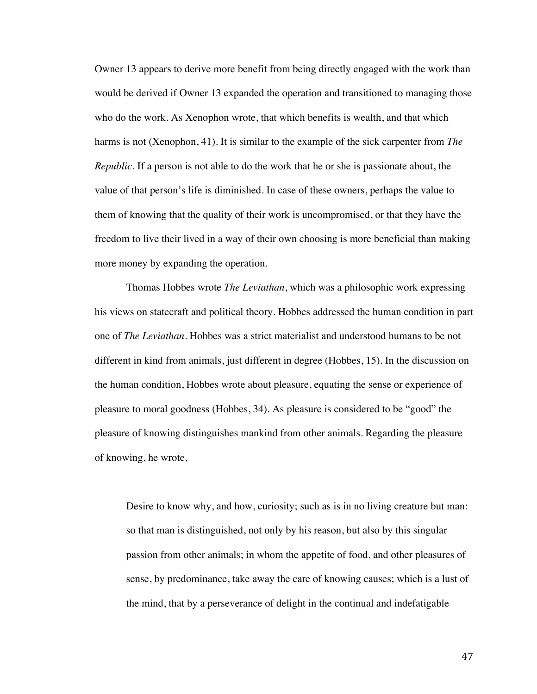Owner 13 appears to derive more benefit from being directly engaged with the work than would be derived if Owner 13 expanded the operation and transitioned to managing those who do the work. As Xenophon wrote, that which benefits is wealth, and that which harms is not (Xenophon, 41). It is similar to the example of the sick carpenter from *The Republic*. If a person is not able to do the work that he or she is passionate about, the value of that person's life is diminished. In case of these owners, perhaps the value to them of knowing that the quality of their work is uncompromised, or that they have the freedom to live their lived in a way of their own choosing is more beneficial than making more money by expanding the operation.

Thomas Hobbes wrote *The Leviathan*, which was a philosophic work expressing his views on statecraft and political theory. Hobbes addressed the human condition in part one of *The Leviathan*. Hobbes was a strict materialist and understood humans to be not different in kind from animals, just different in degree (Hobbes, 15). In the discussion on the human condition, Hobbes wrote about pleasure, equating the sense or experience of pleasure to moral goodness (Hobbes, 34). As pleasure is considered to be "good" the pleasure of knowing distinguishes mankind from other animals. Regarding the pleasure of knowing, he wrote,

Desire to know why, and how, curiosity; such as is in no living creature but man: so that man is distinguished, not only by his reason, but also by this singular passion from other animals; in whom the appetite of food, and other pleasures of sense, by predominance, take away the care of knowing causes; which is a lust of the mind, that by a perseverance of delight in the continual and indefatigable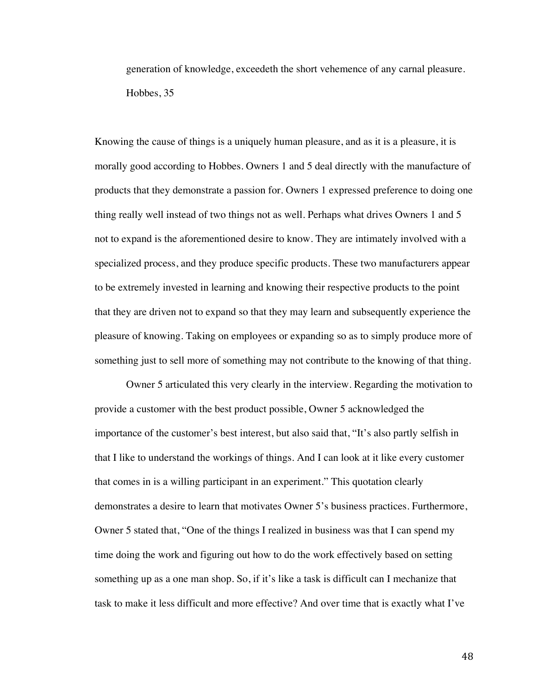generation of knowledge, exceedeth the short vehemence of any carnal pleasure. Hobbes, 35

Knowing the cause of things is a uniquely human pleasure, and as it is a pleasure, it is morally good according to Hobbes. Owners 1 and 5 deal directly with the manufacture of products that they demonstrate a passion for. Owners 1 expressed preference to doing one thing really well instead of two things not as well. Perhaps what drives Owners 1 and 5 not to expand is the aforementioned desire to know. They are intimately involved with a specialized process, and they produce specific products. These two manufacturers appear to be extremely invested in learning and knowing their respective products to the point that they are driven not to expand so that they may learn and subsequently experience the pleasure of knowing. Taking on employees or expanding so as to simply produce more of something just to sell more of something may not contribute to the knowing of that thing.

Owner 5 articulated this very clearly in the interview. Regarding the motivation to provide a customer with the best product possible, Owner 5 acknowledged the importance of the customer's best interest, but also said that, "It's also partly selfish in that I like to understand the workings of things. And I can look at it like every customer that comes in is a willing participant in an experiment." This quotation clearly demonstrates a desire to learn that motivates Owner 5's business practices. Furthermore, Owner 5 stated that, "One of the things I realized in business was that I can spend my time doing the work and figuring out how to do the work effectively based on setting something up as a one man shop. So, if it's like a task is difficult can I mechanize that task to make it less difficult and more effective? And over time that is exactly what I've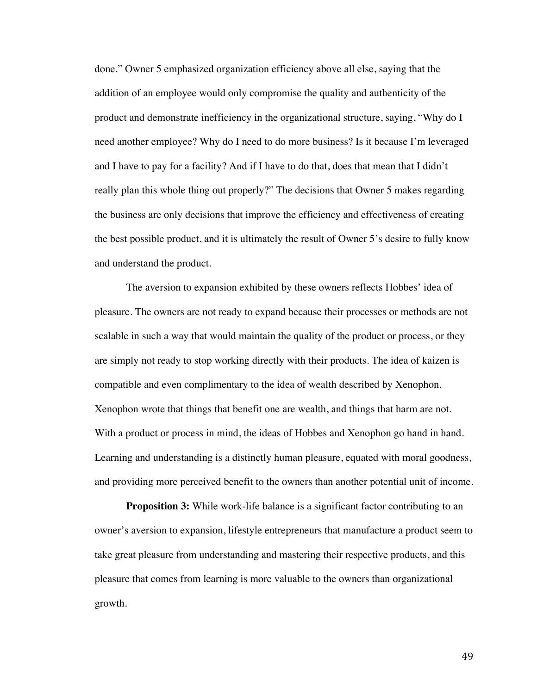done." Owner 5 emphasized organization efficiency above all else, saying that the addition of an employee would only compromise the quality and authenticity of the product and demonstrate inefficiency in the organizational structure, saying, "Why do I need another employee? Why do I need to do more business? Is it because I'm leveraged and I have to pay for a facility? And if I have to do that, does that mean that I didn't really plan this whole thing out properly?" The decisions that Owner 5 makes regarding the business are only decisions that improve the efficiency and effectiveness of creating the best possible product, and it is ultimately the result of Owner 5's desire to fully know and understand the product.

The aversion to expansion exhibited by these owners reflects Hobbes' idea of pleasure. The owners are not ready to expand because their processes or methods are not scalable in such a way that would maintain the quality of the product or process, or they are simply not ready to stop working directly with their products. The idea of kaizen is compatible and even complimentary to the idea of wealth described by Xenophon. Xenophon wrote that things that benefit one are wealth, and things that harm are not. With a product or process in mind, the ideas of Hobbes and Xenophon go hand in hand. Learning and understanding is a distinctly human pleasure, equated with moral goodness, and providing more perceived benefit to the owners than another potential unit of income.

**Proposition 3:** While work-life balance is a significant factor contributing to an owner's aversion to expansion, lifestyle entrepreneurs that manufacture a product seem to take great pleasure from understanding and mastering their respective products, and this pleasure that comes from learning is more valuable to the owners than organizational growth.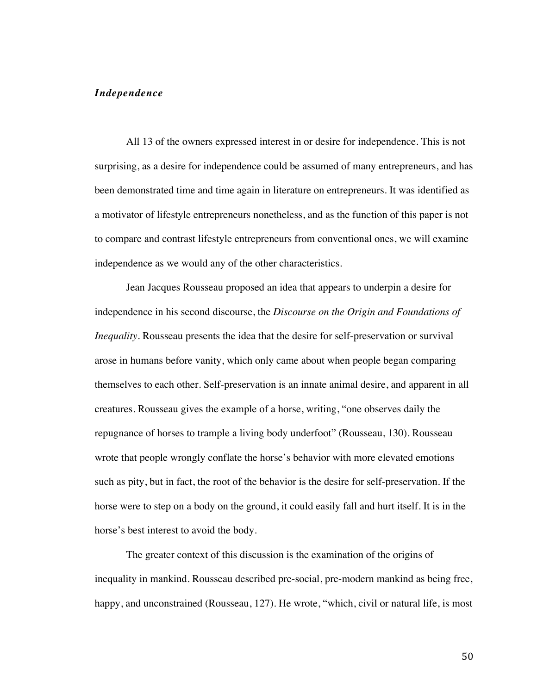## *Independence*

All 13 of the owners expressed interest in or desire for independence. This is not surprising, as a desire for independence could be assumed of many entrepreneurs, and has been demonstrated time and time again in literature on entrepreneurs. It was identified as a motivator of lifestyle entrepreneurs nonetheless, and as the function of this paper is not to compare and contrast lifestyle entrepreneurs from conventional ones, we will examine independence as we would any of the other characteristics.

Jean Jacques Rousseau proposed an idea that appears to underpin a desire for independence in his second discourse, the *Discourse on the Origin and Foundations of Inequality*. Rousseau presents the idea that the desire for self-preservation or survival arose in humans before vanity, which only came about when people began comparing themselves to each other. Self-preservation is an innate animal desire, and apparent in all creatures. Rousseau gives the example of a horse, writing, "one observes daily the repugnance of horses to trample a living body underfoot" (Rousseau, 130). Rousseau wrote that people wrongly conflate the horse's behavior with more elevated emotions such as pity, but in fact, the root of the behavior is the desire for self-preservation. If the horse were to step on a body on the ground, it could easily fall and hurt itself. It is in the horse's best interest to avoid the body.

The greater context of this discussion is the examination of the origins of inequality in mankind. Rousseau described pre-social, pre-modern mankind as being free, happy, and unconstrained (Rousseau, 127). He wrote, "which, civil or natural life, is most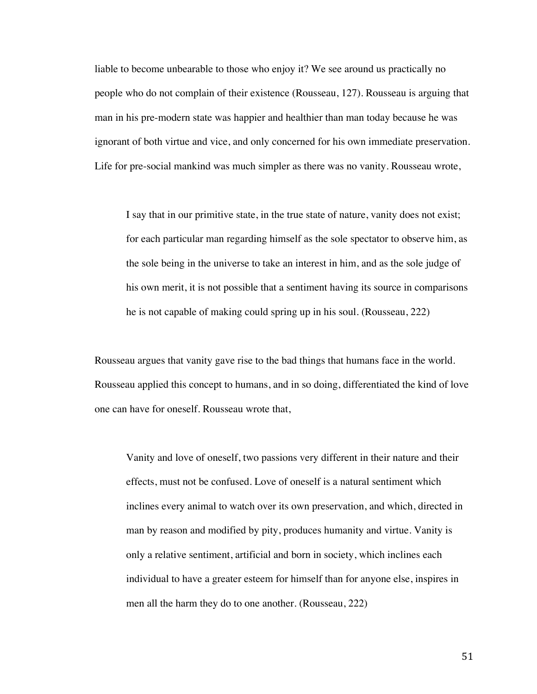liable to become unbearable to those who enjoy it? We see around us practically no people who do not complain of their existence (Rousseau, 127). Rousseau is arguing that man in his pre-modern state was happier and healthier than man today because he was ignorant of both virtue and vice, and only concerned for his own immediate preservation. Life for pre-social mankind was much simpler as there was no vanity. Rousseau wrote,

I say that in our primitive state, in the true state of nature, vanity does not exist; for each particular man regarding himself as the sole spectator to observe him, as the sole being in the universe to take an interest in him, and as the sole judge of his own merit, it is not possible that a sentiment having its source in comparisons he is not capable of making could spring up in his soul. (Rousseau, 222)

Rousseau argues that vanity gave rise to the bad things that humans face in the world. Rousseau applied this concept to humans, and in so doing, differentiated the kind of love one can have for oneself. Rousseau wrote that,

Vanity and love of oneself, two passions very different in their nature and their effects, must not be confused. Love of oneself is a natural sentiment which inclines every animal to watch over its own preservation, and which, directed in man by reason and modified by pity, produces humanity and virtue. Vanity is only a relative sentiment, artificial and born in society, which inclines each individual to have a greater esteem for himself than for anyone else, inspires in men all the harm they do to one another. (Rousseau, 222)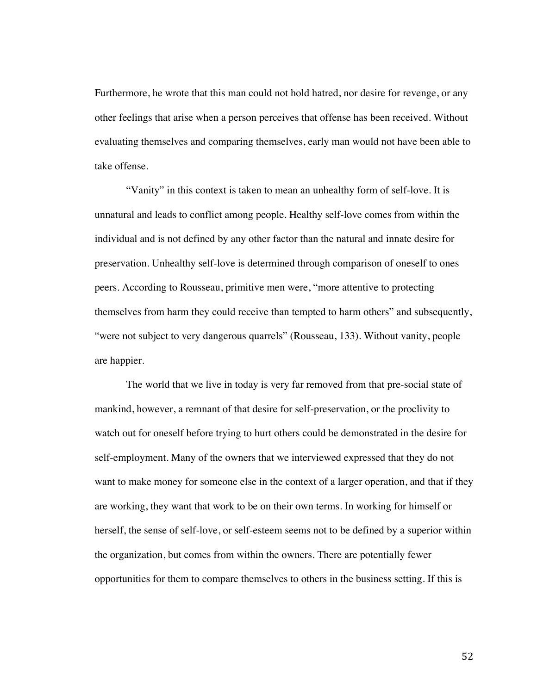Furthermore, he wrote that this man could not hold hatred, nor desire for revenge, or any other feelings that arise when a person perceives that offense has been received. Without evaluating themselves and comparing themselves, early man would not have been able to take offense.

"Vanity" in this context is taken to mean an unhealthy form of self-love. It is unnatural and leads to conflict among people. Healthy self-love comes from within the individual and is not defined by any other factor than the natural and innate desire for preservation. Unhealthy self-love is determined through comparison of oneself to ones peers. According to Rousseau, primitive men were, "more attentive to protecting themselves from harm they could receive than tempted to harm others" and subsequently, "were not subject to very dangerous quarrels" (Rousseau, 133). Without vanity, people are happier.

The world that we live in today is very far removed from that pre-social state of mankind, however, a remnant of that desire for self-preservation, or the proclivity to watch out for oneself before trying to hurt others could be demonstrated in the desire for self-employment. Many of the owners that we interviewed expressed that they do not want to make money for someone else in the context of a larger operation, and that if they are working, they want that work to be on their own terms. In working for himself or herself, the sense of self-love, or self-esteem seems not to be defined by a superior within the organization, but comes from within the owners. There are potentially fewer opportunities for them to compare themselves to others in the business setting. If this is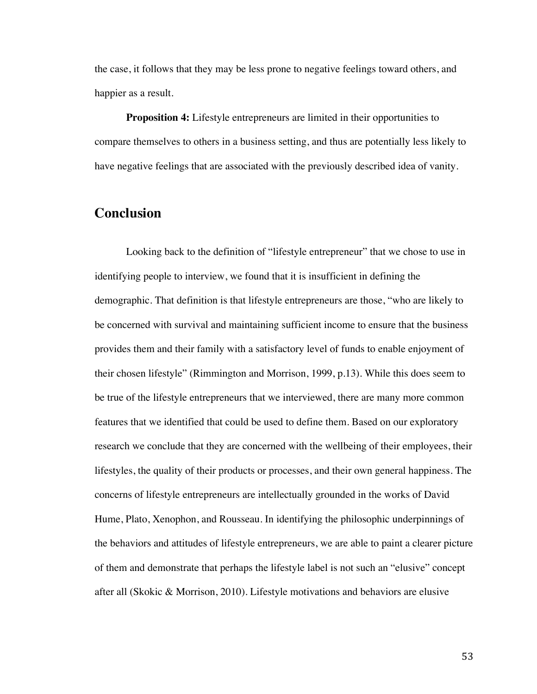the case, it follows that they may be less prone to negative feelings toward others, and happier as a result.

**Proposition 4:** Lifestyle entrepreneurs are limited in their opportunities to compare themselves to others in a business setting, and thus are potentially less likely to have negative feelings that are associated with the previously described idea of vanity.

# **Conclusion**

Looking back to the definition of "lifestyle entrepreneur" that we chose to use in identifying people to interview, we found that it is insufficient in defining the demographic. That definition is that lifestyle entrepreneurs are those, "who are likely to be concerned with survival and maintaining sufficient income to ensure that the business provides them and their family with a satisfactory level of funds to enable enjoyment of their chosen lifestyle" (Rimmington and Morrison, 1999, p.13). While this does seem to be true of the lifestyle entrepreneurs that we interviewed, there are many more common features that we identified that could be used to define them. Based on our exploratory research we conclude that they are concerned with the wellbeing of their employees, their lifestyles, the quality of their products or processes, and their own general happiness. The concerns of lifestyle entrepreneurs are intellectually grounded in the works of David Hume, Plato, Xenophon, and Rousseau. In identifying the philosophic underpinnings of the behaviors and attitudes of lifestyle entrepreneurs, we are able to paint a clearer picture of them and demonstrate that perhaps the lifestyle label is not such an "elusive" concept after all (Skokic & Morrison, 2010). Lifestyle motivations and behaviors are elusive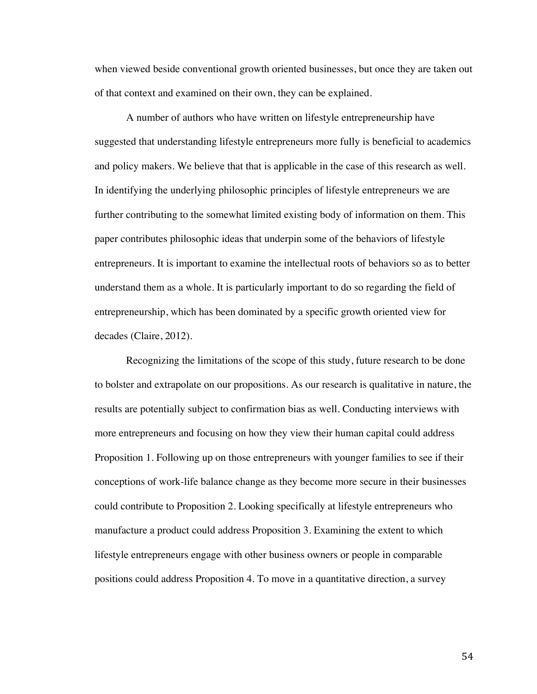when viewed beside conventional growth oriented businesses, but once they are taken out of that context and examined on their own, they can be explained.

A number of authors who have written on lifestyle entrepreneurship have suggested that understanding lifestyle entrepreneurs more fully is beneficial to academics and policy makers. We believe that that is applicable in the case of this research as well. In identifying the underlying philosophic principles of lifestyle entrepreneurs we are further contributing to the somewhat limited existing body of information on them. This paper contributes philosophic ideas that underpin some of the behaviors of lifestyle entrepreneurs. It is important to examine the intellectual roots of behaviors so as to better understand them as a whole. It is particularly important to do so regarding the field of entrepreneurship, which has been dominated by a specific growth oriented view for decades (Claire, 2012).

Recognizing the limitations of the scope of this study, future research to be done to bolster and extrapolate on our propositions. As our research is qualitative in nature, the results are potentially subject to confirmation bias as well. Conducting interviews with more entrepreneurs and focusing on how they view their human capital could address Proposition 1. Following up on those entrepreneurs with younger families to see if their conceptions of work-life balance change as they become more secure in their businesses could contribute to Proposition 2. Looking specifically at lifestyle entrepreneurs who manufacture a product could address Proposition 3. Examining the extent to which lifestyle entrepreneurs engage with other business owners or people in comparable positions could address Proposition 4. To move in a quantitative direction, a survey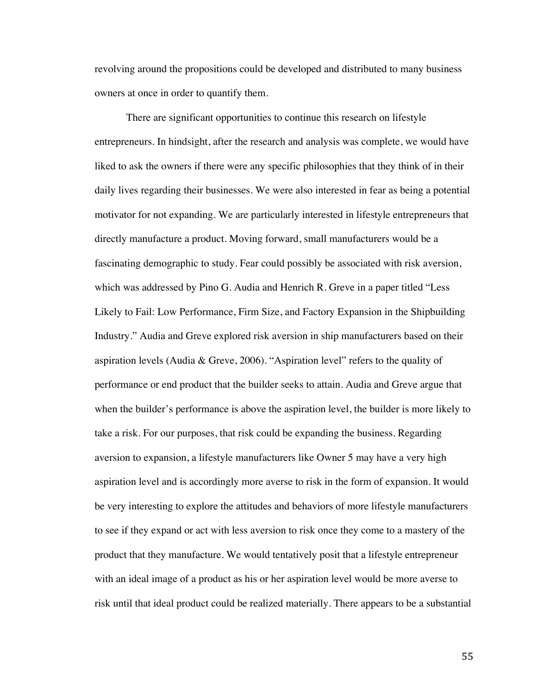revolving around the propositions could be developed and distributed to many business owners at once in order to quantify them.

There are significant opportunities to continue this research on lifestyle entrepreneurs. In hindsight, after the research and analysis was complete, we would have liked to ask the owners if there were any specific philosophies that they think of in their daily lives regarding their businesses. We were also interested in fear as being a potential motivator for not expanding. We are particularly interested in lifestyle entrepreneurs that directly manufacture a product. Moving forward, small manufacturers would be a fascinating demographic to study. Fear could possibly be associated with risk aversion, which was addressed by Pino G. Audia and Henrich R. Greve in a paper titled "Less Likely to Fail: Low Performance, Firm Size, and Factory Expansion in the Shipbuilding Industry." Audia and Greve explored risk aversion in ship manufacturers based on their aspiration levels (Audia & Greve, 2006). "Aspiration level" refers to the quality of performance or end product that the builder seeks to attain. Audia and Greve argue that when the builder's performance is above the aspiration level, the builder is more likely to take a risk. For our purposes, that risk could be expanding the business. Regarding aversion to expansion, a lifestyle manufacturers like Owner 5 may have a very high aspiration level and is accordingly more averse to risk in the form of expansion. It would be very interesting to explore the attitudes and behaviors of more lifestyle manufacturers to see if they expand or act with less aversion to risk once they come to a mastery of the product that they manufacture. We would tentatively posit that a lifestyle entrepreneur with an ideal image of a product as his or her aspiration level would be more averse to risk until that ideal product could be realized materially. There appears to be a substantial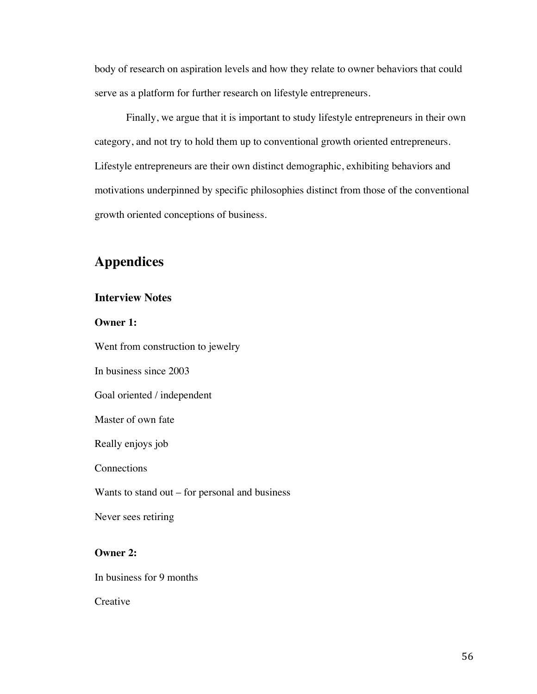body of research on aspiration levels and how they relate to owner behaviors that could serve as a platform for further research on lifestyle entrepreneurs.

Finally, we argue that it is important to study lifestyle entrepreneurs in their own category, and not try to hold them up to conventional growth oriented entrepreneurs. Lifestyle entrepreneurs are their own distinct demographic, exhibiting behaviors and motivations underpinned by specific philosophies distinct from those of the conventional growth oriented conceptions of business.

# **Appendices**

# **Interview Notes**

**Owner 1:**

Went from construction to jewelry In business since 2003

Goal oriented / independent

Master of own fate

Really enjoys job

**Connections** 

Wants to stand out – for personal and business

Never sees retiring

## **Owner 2:**

In business for 9 months

**Creative**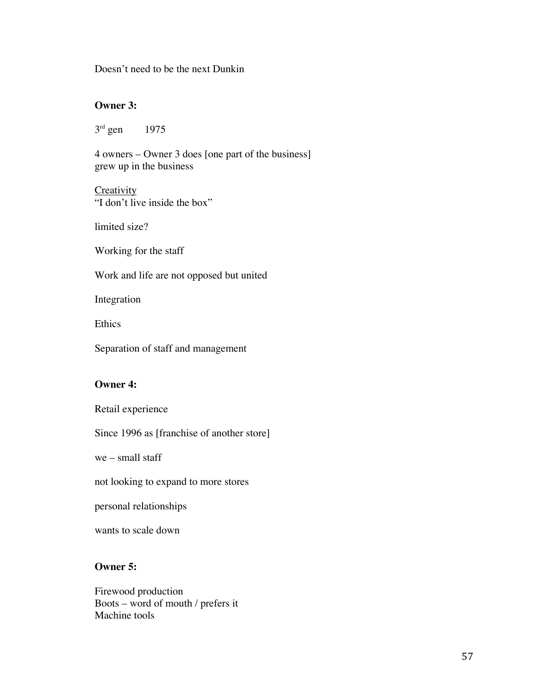Doesn't need to be the next Dunkin

## **Owner 3:**

3<sup>rd</sup> gen 1975

4 owners – Owner 3 does [one part of the business] grew up in the business

**Creativity** "I don't live inside the box"

limited size?

Working for the staff

Work and life are not opposed but united

Integration

Ethics

Separation of staff and management

## **Owner 4:**

Retail experience

Since 1996 as [franchise of another store]

we – small staff

not looking to expand to more stores

personal relationships

wants to scale down

# **Owner 5:**

Firewood production Boots – word of mouth / prefers it Machine tools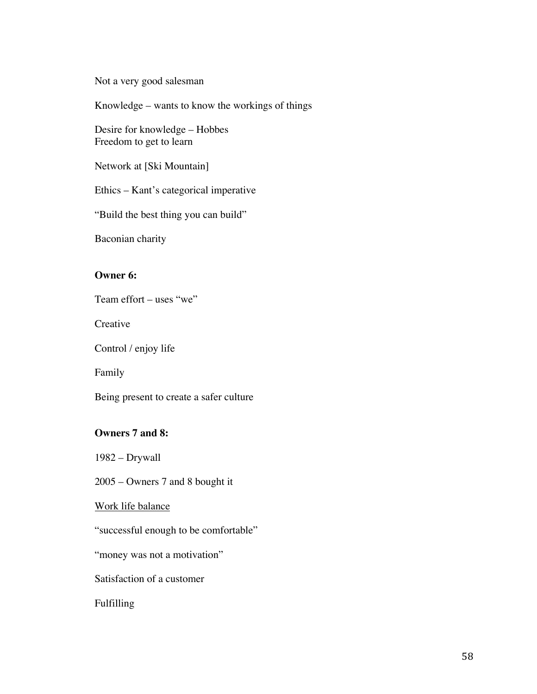Not a very good salesman

Knowledge – wants to know the workings of things

Desire for knowledge – Hobbes Freedom to get to learn

Network at [Ski Mountain]

Ethics – Kant's categorical imperative

"Build the best thing you can build"

Baconian charity

# **Owner 6:**

Team effort – uses "we"

**Creative** 

Control / enjoy life

Family

Being present to create a safer culture

## **Owners 7 and 8:**

1982 – Drywall

2005 – Owners 7 and 8 bought it

## Work life balance

"successful enough to be comfortable"

"money was not a motivation"

Satisfaction of a customer

Fulfilling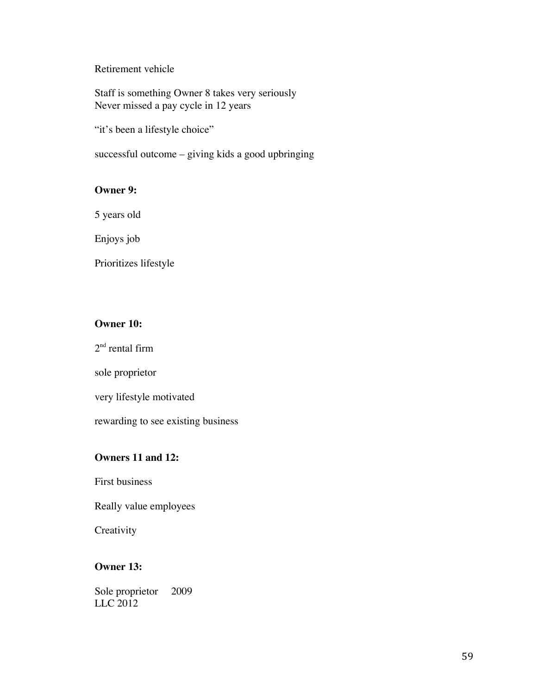Retirement vehicle

Staff is something Owner 8 takes very seriously Never missed a pay cycle in 12 years

"it's been a lifestyle choice"

successful outcome – giving kids a good upbringing

## **Owner 9:**

5 years old

Enjoys job

Prioritizes lifestyle

# **Owner 10:**

 $2<sup>nd</sup>$  rental firm

sole proprietor

very lifestyle motivated

rewarding to see existing business

# **Owners 11 and 12:**

First business

Really value employees

**Creativity** 

# **Owner 13:**

Sole proprietor 2009 LLC 2012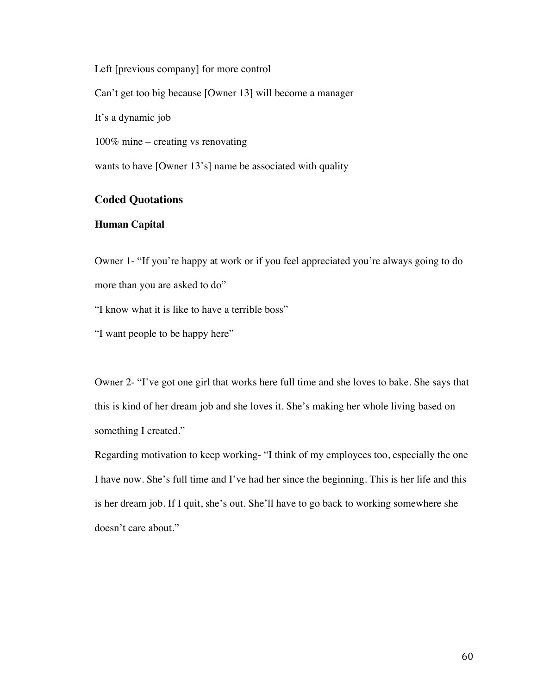Left [previous company] for more control

Can't get too big because [Owner 13] will become a manager

It's a dynamic job

100% mine – creating vs renovating

wants to have [Owner 13's] name be associated with quality

# **Coded Quotations**

## **Human Capital**

Owner 1- "If you're happy at work or if you feel appreciated you're always going to do more than you are asked to do"

"I know what it is like to have a terrible boss"

"I want people to be happy here"

Owner 2- "I've got one girl that works here full time and she loves to bake. She says that this is kind of her dream job and she loves it. She's making her whole living based on something I created."

Regarding motivation to keep working- "I think of my employees too, especially the one I have now. She's full time and I've had her since the beginning. This is her life and this is her dream job. If I quit, she's out. She'll have to go back to working somewhere she doesn't care about."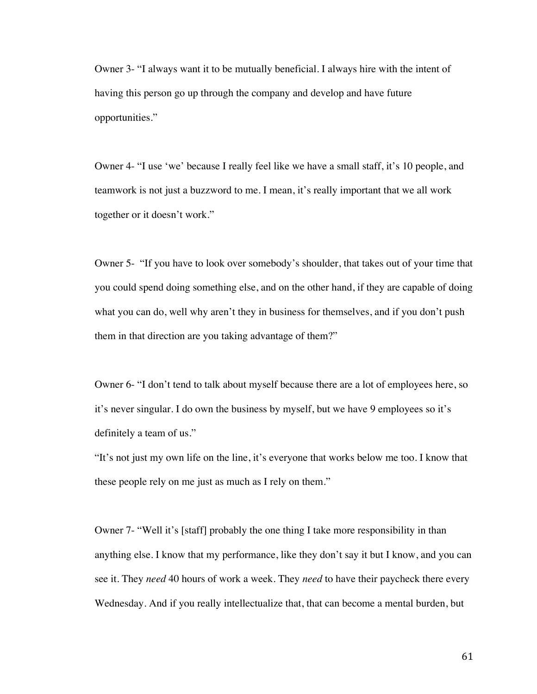Owner 3- "I always want it to be mutually beneficial. I always hire with the intent of having this person go up through the company and develop and have future opportunities."

Owner 4- "I use 'we' because I really feel like we have a small staff, it's 10 people, and teamwork is not just a buzzword to me. I mean, it's really important that we all work together or it doesn't work."

Owner 5- "If you have to look over somebody's shoulder, that takes out of your time that you could spend doing something else, and on the other hand, if they are capable of doing what you can do, well why aren't they in business for themselves, and if you don't push them in that direction are you taking advantage of them?"

Owner 6- "I don't tend to talk about myself because there are a lot of employees here, so it's never singular. I do own the business by myself, but we have 9 employees so it's definitely a team of us."

"It's not just my own life on the line, it's everyone that works below me too. I know that these people rely on me just as much as I rely on them."

Owner 7- "Well it's [staff] probably the one thing I take more responsibility in than anything else. I know that my performance, like they don't say it but I know, and you can see it. They *need* 40 hours of work a week. They *need* to have their paycheck there every Wednesday. And if you really intellectualize that, that can become a mental burden, but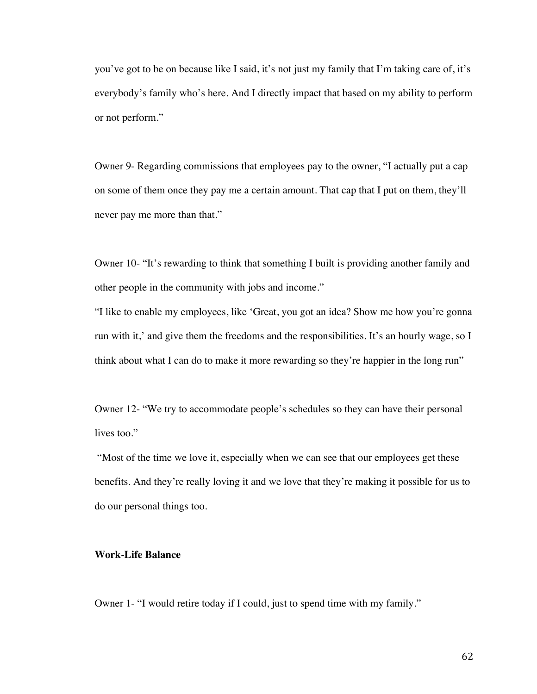you've got to be on because like I said, it's not just my family that I'm taking care of, it's everybody's family who's here. And I directly impact that based on my ability to perform or not perform."

Owner 9- Regarding commissions that employees pay to the owner, "I actually put a cap on some of them once they pay me a certain amount. That cap that I put on them, they'll never pay me more than that."

Owner 10- "It's rewarding to think that something I built is providing another family and other people in the community with jobs and income."

"I like to enable my employees, like 'Great, you got an idea? Show me how you're gonna run with it,' and give them the freedoms and the responsibilities. It's an hourly wage, so I think about what I can do to make it more rewarding so they're happier in the long run"

Owner 12- "We try to accommodate people's schedules so they can have their personal lives too."

"Most of the time we love it, especially when we can see that our employees get these benefits. And they're really loving it and we love that they're making it possible for us to do our personal things too.

# **Work-Life Balance**

Owner 1- "I would retire today if I could, just to spend time with my family."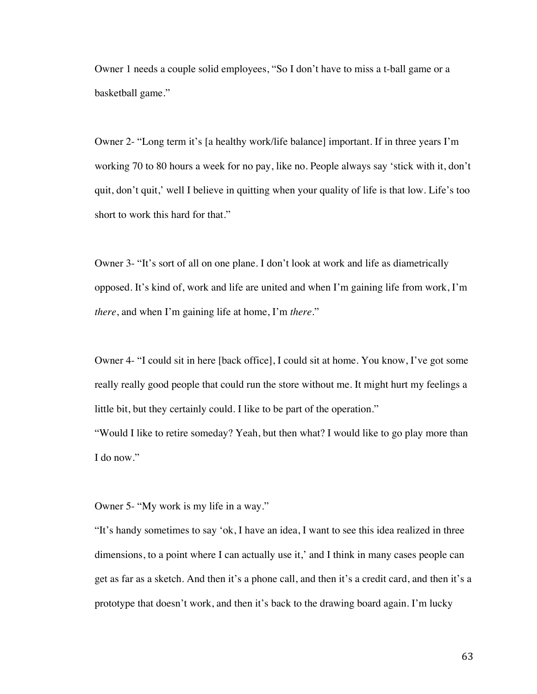Owner 1 needs a couple solid employees, "So I don't have to miss a t-ball game or a basketball game."

Owner 2- "Long term it's [a healthy work/life balance] important. If in three years I'm working 70 to 80 hours a week for no pay, like no. People always say 'stick with it, don't quit, don't quit,' well I believe in quitting when your quality of life is that low. Life's too short to work this hard for that."

Owner 3- "It's sort of all on one plane. I don't look at work and life as diametrically opposed. It's kind of, work and life are united and when I'm gaining life from work, I'm *there*, and when I'm gaining life at home, I'm *there*."

Owner 4- "I could sit in here [back office], I could sit at home. You know, I've got some really really good people that could run the store without me. It might hurt my feelings a little bit, but they certainly could. I like to be part of the operation."

"Would I like to retire someday? Yeah, but then what? I would like to go play more than I do now."

Owner 5- "My work is my life in a way."

"It's handy sometimes to say 'ok, I have an idea, I want to see this idea realized in three dimensions, to a point where I can actually use it,' and I think in many cases people can get as far as a sketch. And then it's a phone call, and then it's a credit card, and then it's a prototype that doesn't work, and then it's back to the drawing board again. I'm lucky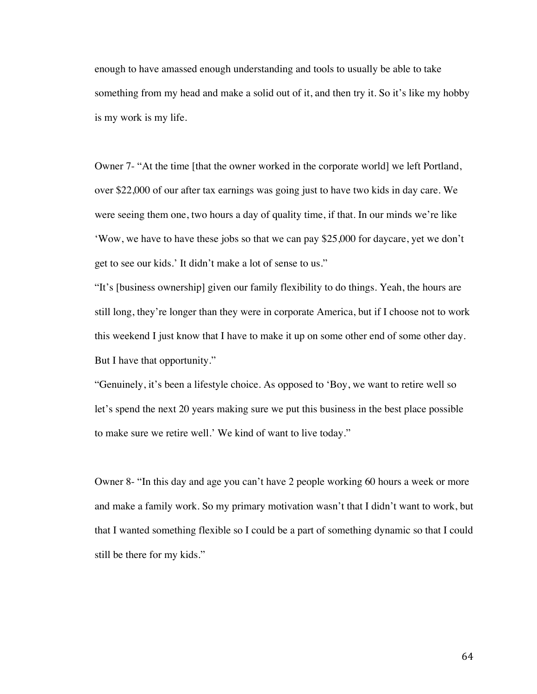enough to have amassed enough understanding and tools to usually be able to take something from my head and make a solid out of it, and then try it. So it's like my hobby is my work is my life.

Owner 7- "At the time [that the owner worked in the corporate world] we left Portland, over \$22,000 of our after tax earnings was going just to have two kids in day care. We were seeing them one, two hours a day of quality time, if that. In our minds we're like 'Wow, we have to have these jobs so that we can pay \$25,000 for daycare, yet we don't get to see our kids.' It didn't make a lot of sense to us."

"It's [business ownership] given our family flexibility to do things. Yeah, the hours are still long, they're longer than they were in corporate America, but if I choose not to work this weekend I just know that I have to make it up on some other end of some other day. But I have that opportunity."

"Genuinely, it's been a lifestyle choice. As opposed to 'Boy, we want to retire well so let's spend the next 20 years making sure we put this business in the best place possible to make sure we retire well.' We kind of want to live today."

Owner 8- "In this day and age you can't have 2 people working 60 hours a week or more and make a family work. So my primary motivation wasn't that I didn't want to work, but that I wanted something flexible so I could be a part of something dynamic so that I could still be there for my kids."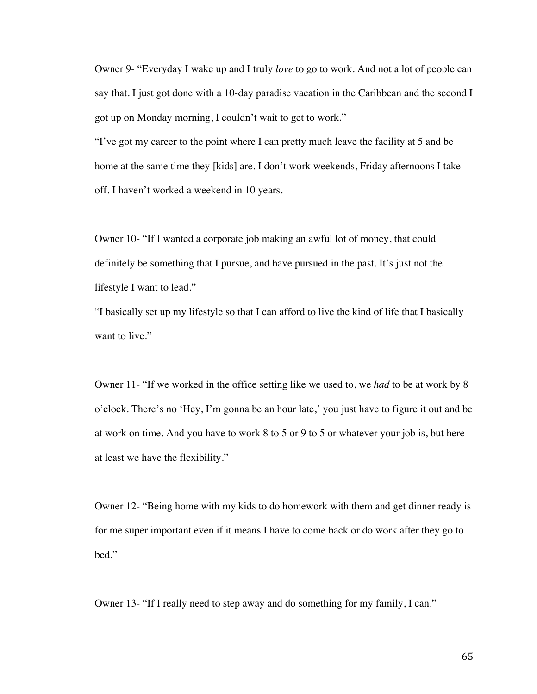Owner 9- "Everyday I wake up and I truly *love* to go to work. And not a lot of people can say that. I just got done with a 10-day paradise vacation in the Caribbean and the second I got up on Monday morning, I couldn't wait to get to work."

"I've got my career to the point where I can pretty much leave the facility at 5 and be home at the same time they [kids] are. I don't work weekends, Friday afternoons I take off. I haven't worked a weekend in 10 years.

Owner 10- "If I wanted a corporate job making an awful lot of money, that could definitely be something that I pursue, and have pursued in the past. It's just not the lifestyle I want to lead."

"I basically set up my lifestyle so that I can afford to live the kind of life that I basically want to live."

Owner 11- "If we worked in the office setting like we used to, we *had* to be at work by 8 o'clock. There's no 'Hey, I'm gonna be an hour late,' you just have to figure it out and be at work on time. And you have to work 8 to 5 or 9 to 5 or whatever your job is, but here at least we have the flexibility."

Owner 12- "Being home with my kids to do homework with them and get dinner ready is for me super important even if it means I have to come back or do work after they go to bed."

Owner 13- "If I really need to step away and do something for my family, I can."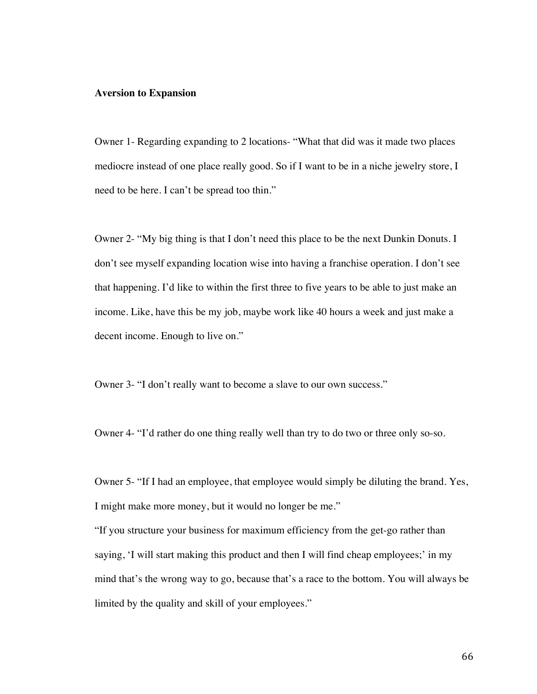## **Aversion to Expansion**

Owner 1- Regarding expanding to 2 locations- "What that did was it made two places mediocre instead of one place really good. So if I want to be in a niche jewelry store, I need to be here. I can't be spread too thin."

Owner 2- "My big thing is that I don't need this place to be the next Dunkin Donuts. I don't see myself expanding location wise into having a franchise operation. I don't see that happening. I'd like to within the first three to five years to be able to just make an income. Like, have this be my job, maybe work like 40 hours a week and just make a decent income. Enough to live on."

Owner 3- "I don't really want to become a slave to our own success."

Owner 4- "I'd rather do one thing really well than try to do two or three only so-so.

Owner 5- "If I had an employee, that employee would simply be diluting the brand. Yes, I might make more money, but it would no longer be me."

"If you structure your business for maximum efficiency from the get-go rather than saying, 'I will start making this product and then I will find cheap employees;' in my mind that's the wrong way to go, because that's a race to the bottom. You will always be limited by the quality and skill of your employees."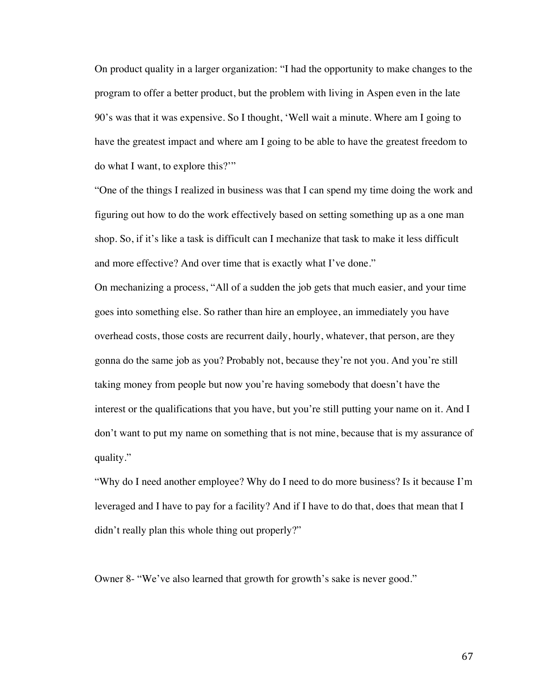On product quality in a larger organization: "I had the opportunity to make changes to the program to offer a better product, but the problem with living in Aspen even in the late 90's was that it was expensive. So I thought, 'Well wait a minute. Where am I going to have the greatest impact and where am I going to be able to have the greatest freedom to do what I want, to explore this?'"

"One of the things I realized in business was that I can spend my time doing the work and figuring out how to do the work effectively based on setting something up as a one man shop. So, if it's like a task is difficult can I mechanize that task to make it less difficult and more effective? And over time that is exactly what I've done."

On mechanizing a process, "All of a sudden the job gets that much easier, and your time goes into something else. So rather than hire an employee, an immediately you have overhead costs, those costs are recurrent daily, hourly, whatever, that person, are they gonna do the same job as you? Probably not, because they're not you. And you're still taking money from people but now you're having somebody that doesn't have the interest or the qualifications that you have, but you're still putting your name on it. And I don't want to put my name on something that is not mine, because that is my assurance of quality."

"Why do I need another employee? Why do I need to do more business? Is it because I'm leveraged and I have to pay for a facility? And if I have to do that, does that mean that I didn't really plan this whole thing out properly?"

Owner 8- "We've also learned that growth for growth's sake is never good."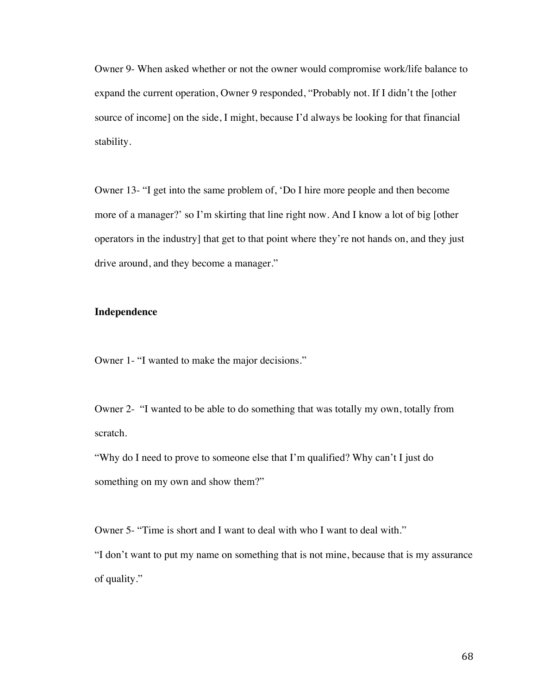Owner 9- When asked whether or not the owner would compromise work/life balance to expand the current operation, Owner 9 responded, "Probably not. If I didn't the [other source of income] on the side, I might, because I'd always be looking for that financial stability.

Owner 13- "I get into the same problem of, 'Do I hire more people and then become more of a manager?' so I'm skirting that line right now. And I know a lot of big [other operators in the industry] that get to that point where they're not hands on, and they just drive around, and they become a manager."

## **Independence**

Owner 1- "I wanted to make the major decisions."

Owner 2- "I wanted to be able to do something that was totally my own, totally from scratch.

"Why do I need to prove to someone else that I'm qualified? Why can't I just do something on my own and show them?"

Owner 5- "Time is short and I want to deal with who I want to deal with."

"I don't want to put my name on something that is not mine, because that is my assurance of quality."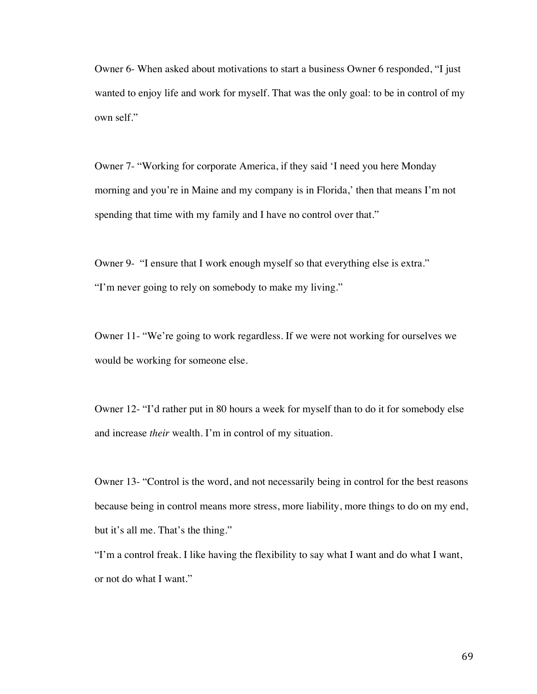Owner 6- When asked about motivations to start a business Owner 6 responded, "I just wanted to enjoy life and work for myself. That was the only goal: to be in control of my own self."

Owner 7- "Working for corporate America, if they said 'I need you here Monday morning and you're in Maine and my company is in Florida,' then that means I'm not spending that time with my family and I have no control over that."

Owner 9- "I ensure that I work enough myself so that everything else is extra." "I'm never going to rely on somebody to make my living."

Owner 11- "We're going to work regardless. If we were not working for ourselves we would be working for someone else.

Owner 12- "I'd rather put in 80 hours a week for myself than to do it for somebody else and increase *their* wealth. I'm in control of my situation.

Owner 13- "Control is the word, and not necessarily being in control for the best reasons because being in control means more stress, more liability, more things to do on my end, but it's all me. That's the thing."

"I'm a control freak. I like having the flexibility to say what I want and do what I want, or not do what I want."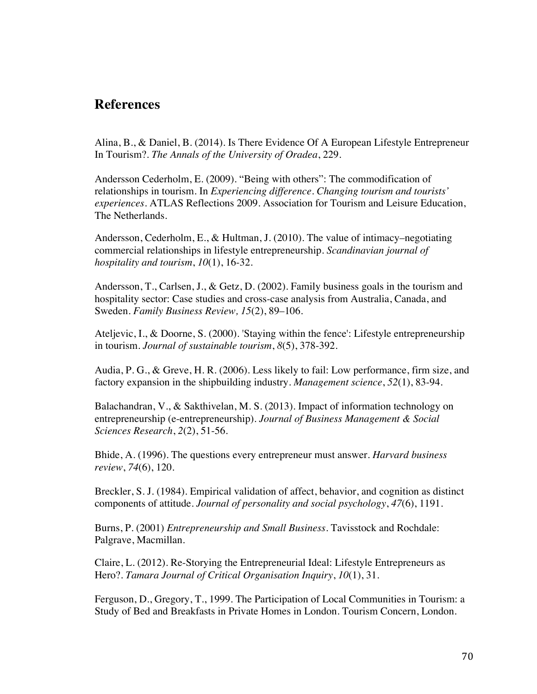## **References**

Alina, B., & Daniel, B. (2014). Is There Evidence Of A European Lifestyle Entrepreneur In Tourism?. *The Annals of the University of Oradea*, 229.

Andersson Cederholm, E. (2009). "Being with others": The commodification of relationships in tourism. In *Experiencing difference. Changing tourism and tourists' experiences.* ATLAS Reflections 2009. Association for Tourism and Leisure Education, The Netherlands.

Andersson, Cederholm, E., & Hultman, J. (2010). The value of intimacy–negotiating commercial relationships in lifestyle entrepreneurship. *Scandinavian journal of hospitality and tourism*, *10*(1), 16-32.

Andersson, T., Carlsen, J., & Getz, D. (2002). Family business goals in the tourism and hospitality sector: Case studies and cross-case analysis from Australia, Canada, and Sweden. *Family Business Review, 15*(2), 89–106.

Ateljevic, I., & Doorne, S. (2000). 'Staying within the fence': Lifestyle entrepreneurship in tourism. *Journal of sustainable tourism*, *8*(5), 378-392.

Audia, P. G., & Greve, H. R. (2006). Less likely to fail: Low performance, firm size, and factory expansion in the shipbuilding industry. *Management science*, *52*(1), 83-94.

Balachandran, V., & Sakthivelan, M. S. (2013). Impact of information technology on entrepreneurship (e-entrepreneurship). *Journal of Business Management & Social Sciences Research*, *2*(2), 51-56.

Bhide, A. (1996). The questions every entrepreneur must answer. *Harvard business review*, *74*(6), 120.

Breckler, S. J. (1984). Empirical validation of affect, behavior, and cognition as distinct components of attitude. *Journal of personality and social psychology*, *47*(6), 1191.

Burns, P. (2001) *Entrepreneurship and Small Business*. Tavisstock and Rochdale: Palgrave, Macmillan.

Claire, L. (2012). Re-Storying the Entrepreneurial Ideal: Lifestyle Entrepreneurs as Hero?. *Tamara Journal of Critical Organisation Inquiry*, *10*(1), 31.

Ferguson, D., Gregory, T., 1999. The Participation of Local Communities in Tourism: a Study of Bed and Breakfasts in Private Homes in London. Tourism Concern, London.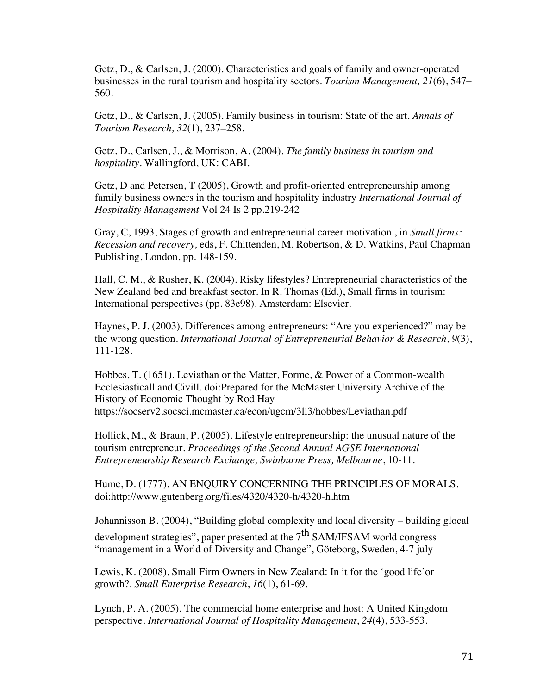Getz, D., & Carlsen, J. (2000). Characteristics and goals of family and owner-operated businesses in the rural tourism and hospitality sectors. *Tourism Management, 21*(6), 547– 560.

Getz, D., & Carlsen, J. (2005). Family business in tourism: State of the art. *Annals of Tourism Research, 32*(1), 237–258.

Getz, D., Carlsen, J., & Morrison, A. (2004). *The family business in tourism and hospitality.* Wallingford, UK: CABI.

Getz, D and Petersen, T (2005), Growth and profit-oriented entrepreneurship among family business owners in the tourism and hospitality industry *International Journal of Hospitality Management* Vol 24 Is 2 pp.219-242

Gray, C, 1993, Stages of growth and entrepreneurial career motivation , in *Small firms: Recession and recovery,* eds, F. Chittenden, M. Robertson, & D. Watkins, Paul Chapman Publishing, London, pp. 148-159.

Hall, C. M., & Rusher, K. (2004). Risky lifestyles? Entrepreneurial characteristics of the New Zealand bed and breakfast sector. In R. Thomas (Ed.), Small firms in tourism: International perspectives (pp. 83e98). Amsterdam: Elsevier.

Haynes, P. J. (2003). Differences among entrepreneurs: "Are you experienced?" may be the wrong question. *International Journal of Entrepreneurial Behavior & Research*, *9*(3), 111-128.

Hobbes, T. (1651). Leviathan or the Matter, Forme, & Power of a Common-wealth Ecclesiasticall and Civill. doi:Prepared for the McMaster University Archive of the History of Economic Thought by Rod Hay https://socserv2.socsci.mcmaster.ca/econ/ugcm/3ll3/hobbes/Leviathan.pdf

Hollick, M., & Braun, P. (2005). Lifestyle entrepreneurship: the unusual nature of the tourism entrepreneur. *Proceedings of the Second Annual AGSE International Entrepreneurship Research Exchange, Swinburne Press, Melbourne*, 10-11.

Hume, D. (1777). AN ENQUIRY CONCERNING THE PRINCIPLES OF MORALS. doi:http://www.gutenberg.org/files/4320/4320-h/4320-h.htm

Johannisson B. (2004), "Building global complexity and local diversity – building glocal development strategies", paper presented at the  $7<sup>th</sup>$  SAM/IFSAM world congress "management in a World of Diversity and Change", Göteborg, Sweden, 4-7 july

Lewis, K. (2008). Small Firm Owners in New Zealand: In it for the 'good life'or growth?. *Small Enterprise Research*, *16*(1), 61-69.

Lynch, P. A. (2005). The commercial home enterprise and host: A United Kingdom perspective. *International Journal of Hospitality Management*, *24*(4), 533-553.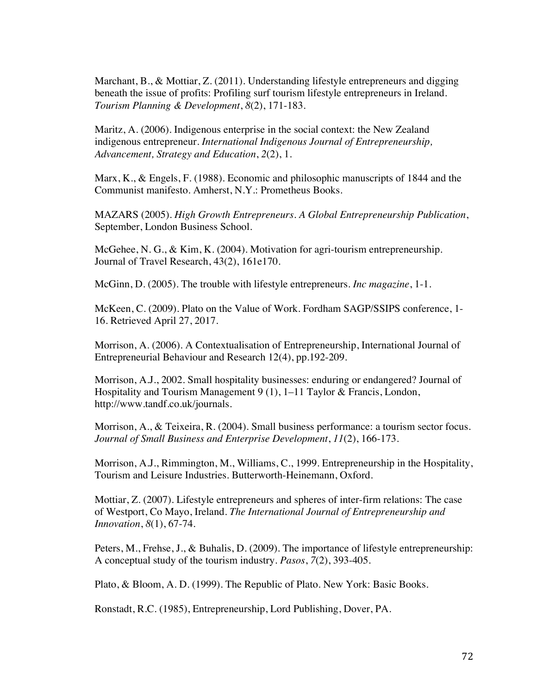Marchant, B., & Mottiar, Z. (2011). Understanding lifestyle entrepreneurs and digging beneath the issue of profits: Profiling surf tourism lifestyle entrepreneurs in Ireland. *Tourism Planning & Development*, *8*(2), 171-183.

Maritz, A. (2006). Indigenous enterprise in the social context: the New Zealand indigenous entrepreneur. *International Indigenous Journal of Entrepreneurship, Advancement, Strategy and Education*, *2*(2), 1.

Marx, K., & Engels, F. (1988). Economic and philosophic manuscripts of 1844 and the Communist manifesto. Amherst, N.Y.: Prometheus Books.

MAZARS (2005). *High Growth Entrepreneurs. A Global Entrepreneurship Publication*, September, London Business School.

McGehee, N. G., & Kim, K. (2004). Motivation for agri-tourism entrepreneurship. Journal of Travel Research, 43(2), 161e170.

McGinn, D. (2005). The trouble with lifestyle entrepreneurs. *Inc magazine*, 1-1.

McKeen, C. (2009). Plato on the Value of Work. Fordham SAGP/SSIPS conference, 1- 16. Retrieved April 27, 2017.

Morrison, A. (2006). A Contextualisation of Entrepreneurship, International Journal of Entrepreneurial Behaviour and Research 12(4), pp.192-209.

Morrison, A.J., 2002. Small hospitality businesses: enduring or endangered? Journal of Hospitality and Tourism Management 9 (1), 1–11 Taylor & Francis, London, http://www.tandf.co.uk/journals.

Morrison, A., & Teixeira, R. (2004). Small business performance: a tourism sector focus. *Journal of Small Business and Enterprise Development*, *11*(2), 166-173.

Morrison, A.J., Rimmington, M., Williams, C., 1999. Entrepreneurship in the Hospitality, Tourism and Leisure Industries. Butterworth-Heinemann, Oxford.

Mottiar, Z. (2007). Lifestyle entrepreneurs and spheres of inter-firm relations: The case of Westport, Co Mayo, Ireland. *The International Journal of Entrepreneurship and Innovation*, *8*(1), 67-74.

Peters, M., Frehse, J., & Buhalis, D. (2009). The importance of lifestyle entrepreneurship: A conceptual study of the tourism industry. *Pasos*, *7*(2), 393-405.

Plato, & Bloom, A. D. (1999). The Republic of Plato. New York: Basic Books.

Ronstadt, R.C. (1985), Entrepreneurship, Lord Publishing, Dover, PA.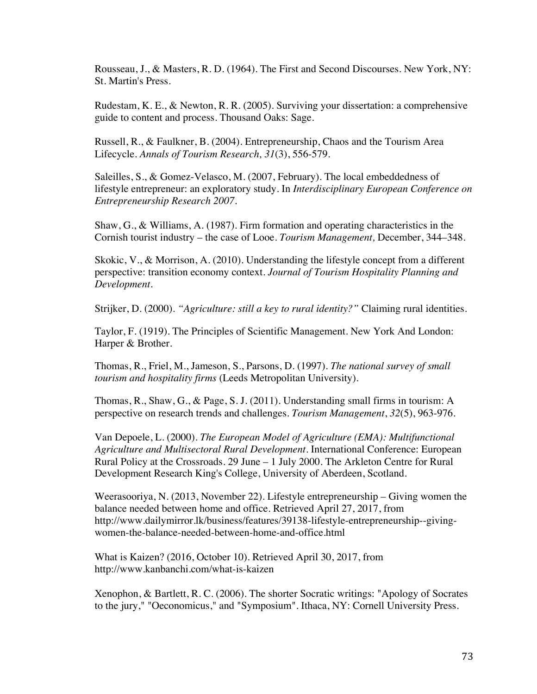Rousseau, J., & Masters, R. D. (1964). The First and Second Discourses. New York, NY: St. Martin's Press.

Rudestam, K. E., & Newton, R. R. (2005). Surviving your dissertation: a comprehensive guide to content and process. Thousand Oaks: Sage.

Russell, R., & Faulkner, B. (2004). Entrepreneurship, Chaos and the Tourism Area Lifecycle. *Annals of Tourism Research, 31*(3), 556-579.

Saleilles, S., & Gomez-Velasco, M. (2007, February). The local embeddedness of lifestyle entrepreneur: an exploratory study. In *Interdisciplinary European Conference on Entrepreneurship Research 2007*.

Shaw, G., & Williams, A. (1987). Firm formation and operating characteristics in the Cornish tourist industry – the case of Looe. *Tourism Management,* December, 344–348.

Skokic, V., & Morrison, A. (2010). Understanding the lifestyle concept from a different perspective: transition economy context. *Journal of Tourism Hospitality Planning and Development*.

Strijker, D. (2000). *"Agriculture: still a key to rural identity?"* Claiming rural identities.

Taylor, F. (1919). The Principles of Scientific Management. New York And London: Harper & Brother.

Thomas, R., Friel, M., Jameson, S., Parsons, D. (1997). *The national survey of small tourism and hospitality firms* (Leeds Metropolitan University).

Thomas, R., Shaw, G., & Page, S. J. (2011). Understanding small firms in tourism: A perspective on research trends and challenges. *Tourism Management*, *32*(5), 963-976.

Van Depoele, L. (2000). *The European Model of Agriculture (EMA): Multifunctional Agriculture and Multisectoral Rural Development*. International Conference: European Rural Policy at the Crossroads. 29 June – 1 July 2000. The Arkleton Centre for Rural Development Research King's College, University of Aberdeen, Scotland.

Weerasooriya, N. (2013, November 22). Lifestyle entrepreneurship – Giving women the balance needed between home and office. Retrieved April 27, 2017, from http://www.dailymirror.lk/business/features/39138-lifestyle-entrepreneurship--givingwomen-the-balance-needed-between-home-and-office.html

What is Kaizen? (2016, October 10). Retrieved April 30, 2017, from http://www.kanbanchi.com/what-is-kaizen

Xenophon, & Bartlett, R. C. (2006). The shorter Socratic writings: "Apology of Socrates to the jury," "Oeconomicus," and "Symposium". Ithaca, NY: Cornell University Press.